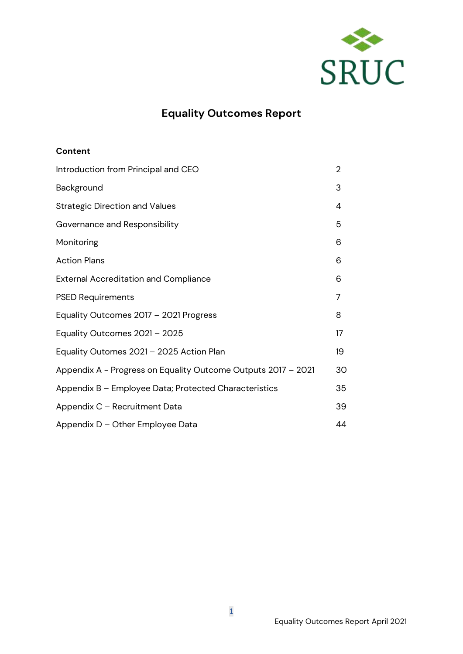

# **Equality Outcomes Report**

#### **Content**

| Introduction from Principal and CEO                           | $\overline{2}$ |
|---------------------------------------------------------------|----------------|
| Background                                                    | 3              |
| <b>Strategic Direction and Values</b>                         | 4              |
| Governance and Responsibility                                 | 5              |
| Monitoring                                                    | 6              |
| <b>Action Plans</b>                                           | 6              |
| <b>External Accreditation and Compliance</b>                  | 6              |
| <b>PSED Requirements</b>                                      | 7              |
| Equality Outcomes 2017 - 2021 Progress                        | 8              |
| Equality Outcomes 2021 - 2025                                 | 17             |
| Equality Outomes 2021 - 2025 Action Plan                      | 19             |
| Appendix A - Progress on Equality Outcome Outputs 2017 - 2021 | 30             |
| Appendix B - Employee Data; Protected Characteristics         | 35             |
| Appendix C - Recruitment Data                                 | 39             |
| Appendix D - Other Employee Data                              | 44             |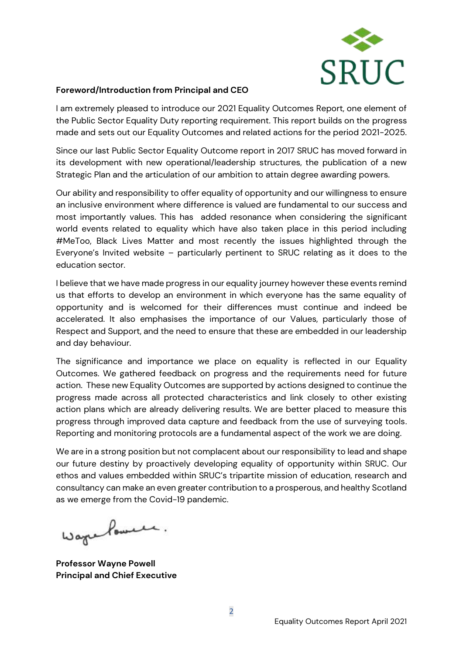

#### **Foreword/Introduction from Principal and CEO**

I am extremely pleased to introduce our 2021 Equality Outcomes Report, one element of the Public Sector Equality Duty reporting requirement. This report builds on the progress made and sets out our Equality Outcomes and related actions for the period 2021-2025.

Since our last Public Sector Equality Outcome report in 2017 SRUC has moved forward in its development with new operational/leadership structures, the publication of a new Strategic Plan and the articulation of our ambition to attain degree awarding powers.

Our ability and responsibility to offer equality of opportunity and our willingness to ensure an inclusive environment where difference is valued are fundamental to our success and most importantly values. This has added resonance when considering the significant world events related to equality which have also taken place in this period including #MeToo, Black Lives Matter and most recently the issues highlighted through the Everyone's Invited website – particularly pertinent to SRUC relating as it does to the education sector.

I believe that we have made progress in our equality journey however these events remind us that efforts to develop an environment in which everyone has the same equality of opportunity and is welcomed for their differences must continue and indeed be accelerated. It also emphasises the importance of our Values, particularly those of Respect and Support, and the need to ensure that these are embedded in our leadership and day behaviour.

The significance and importance we place on equality is reflected in our Equality Outcomes. We gathered feedback on progress and the requirements need for future action. These new Equality Outcomes are supported by actions designed to continue the progress made across all protected characteristics and link closely to other existing action plans which are already delivering results. We are better placed to measure this progress through improved data capture and feedback from the use of surveying tools. Reporting and monitoring protocols are a fundamental aspect of the work we are doing.

We are in a strong position but not complacent about our responsibility to lead and shape our future destiny by proactively developing equality of opportunity within SRUC. Our ethos and values embedded within SRUC's tripartite mission of education, research and consultancy can make an even greater contribution to a prosperous, and healthy Scotland as we emerge from the Covid-19 pandemic.

Wage Power.

**Professor Wayne Powell Principal and Chief Executive**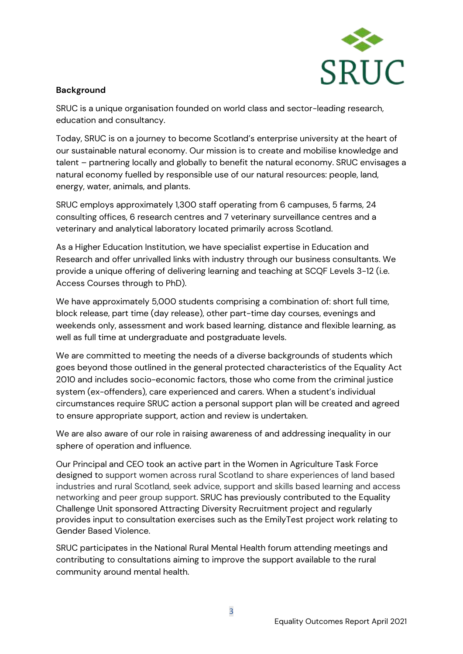

### **Background**

SRUC is a unique organisation founded on world class and sector-leading research, education and consultancy.

Today, SRUC is on a journey to become Scotland's enterprise university at the heart of our sustainable natural economy. Our mission is to create and mobilise knowledge and talent – partnering locally and globally to benefit the natural economy. SRUC envisages a natural economy fuelled by responsible use of our natural resources: people, land, energy, water, animals, and plants.

SRUC employs approximately 1,300 staff operating from 6 campuses, 5 farms, 24 consulting offices, 6 research centres and 7 veterinary surveillance centres and a veterinary and analytical laboratory located primarily across Scotland.

As a Higher Education Institution, we have specialist expertise in Education and Research and offer unrivalled links with industry through our business consultants. We provide a unique offering of delivering learning and teaching at SCQF Levels 3-12 (i.e. Access Courses through to PhD).

We have approximately 5,000 students comprising a combination of: short full time, block release, part time (day release), other part-time day courses, evenings and weekends only, assessment and work based learning, distance and flexible learning, as well as full time at undergraduate and postgraduate levels.

We are committed to meeting the needs of a diverse backgrounds of students which goes beyond those outlined in the general protected characteristics of the Equality Act 2010 and includes socio-economic factors, those who come from the criminal justice system (ex-offenders), care experienced and carers. When a student's individual circumstances require SRUC action a personal support plan will be created and agreed to ensure appropriate support, action and review is undertaken.

We are also aware of our role in raising awareness of and addressing inequality in our sphere of operation and influence.

Our Principal and CEO took an active part in the Women in Agriculture Task Force designed to support women across rural Scotland to share experiences of land based industries and rural Scotland, seek advice, support and skills based learning and access networking and peer group support. SRUC has previously contributed to the Equality Challenge Unit sponsored Attracting Diversity Recruitment project and regularly provides input to consultation exercises such as the EmilyTest project work relating to Gender Based Violence.

SRUC participates in the National Rural Mental Health forum attending meetings and contributing to consultations aiming to improve the support available to the rural community around mental health.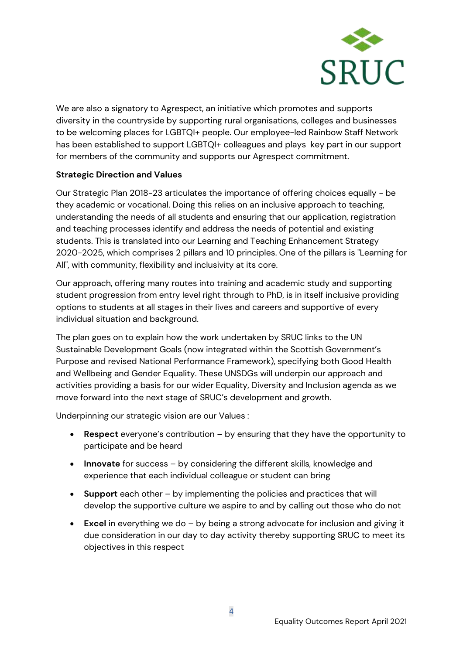

We are also a signatory to Agrespect, an initiative which promotes and supports diversity in the countryside by supporting rural organisations, colleges and businesses to be welcoming places for LGBTQI+ people. Our employee-led Rainbow Staff Network has been established to support LGBTQI+ colleagues and plays key part in our support for members of the community and supports our Agrespect commitment.

#### **Strategic Direction and Values**

Our Strategic Plan 2018-23 articulates the importance of offering choices equally - be they academic or vocational. Doing this relies on an inclusive approach to teaching, understanding the needs of all students and ensuring that our application, registration and teaching processes identify and address the needs of potential and existing students. This is translated into our Learning and Teaching Enhancement Strategy 2020-2025, which comprises 2 pillars and 10 principles. One of the pillars is "Learning for All", with community, flexibility and inclusivity at its core.

Our approach, offering many routes into training and academic study and supporting student progression from entry level right through to PhD, is in itself inclusive providing options to students at all stages in their lives and careers and supportive of every individual situation and background.

The plan goes on to explain how the work undertaken by SRUC links to the UN Sustainable Development Goals (now integrated within the Scottish Government's Purpose and revised National Performance Framework), specifying both Good Health and Wellbeing and Gender Equality. These UNSDGs will underpin our approach and activities providing a basis for our wider Equality, Diversity and Inclusion agenda as we move forward into the next stage of SRUC's development and growth.

Underpinning our strategic vision are our Values :

- **Respect** everyone's contribution by ensuring that they have the opportunity to participate and be heard
- **Innovate** for success by considering the different skills, knowledge and experience that each individual colleague or student can bring
- **Support** each other by implementing the policies and practices that will develop the supportive culture we aspire to and by calling out those who do not
- **Excel** in everything we do by being a strong advocate for inclusion and giving it due consideration in our day to day activity thereby supporting SRUC to meet its objectives in this respect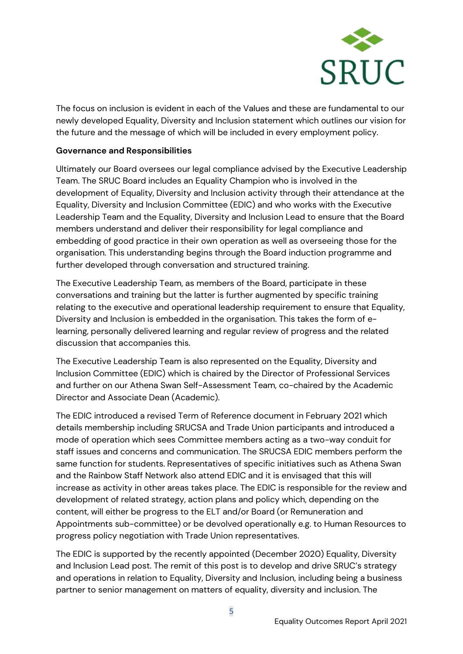

The focus on inclusion is evident in each of the Values and these are fundamental to our newly developed Equality, Diversity and Inclusion statement which outlines our vision for the future and the message of which will be included in every employment policy.

#### **Governance and Responsibilities**

Ultimately our Board oversees our legal compliance advised by the Executive Leadership Team. The SRUC Board includes an Equality Champion who is involved in the development of Equality, Diversity and Inclusion activity through their attendance at the Equality, Diversity and Inclusion Committee (EDIC) and who works with the Executive Leadership Team and the Equality, Diversity and Inclusion Lead to ensure that the Board members understand and deliver their responsibility for legal compliance and embedding of good practice in their own operation as well as overseeing those for the organisation. This understanding begins through the Board induction programme and further developed through conversation and structured training.

The Executive Leadership Team, as members of the Board, participate in these conversations and training but the latter is further augmented by specific training relating to the executive and operational leadership requirement to ensure that Equality, Diversity and Inclusion is embedded in the organisation. This takes the form of elearning, personally delivered learning and regular review of progress and the related discussion that accompanies this.

The Executive Leadership Team is also represented on the Equality, Diversity and Inclusion Committee (EDIC) which is chaired by the Director of Professional Services and further on our Athena Swan Self-Assessment Team, co-chaired by the Academic Director and Associate Dean (Academic).

The EDIC introduced a revised Term of Reference document in February 2021 which details membership including SRUCSA and Trade Union participants and introduced a mode of operation which sees Committee members acting as a two-way conduit for staff issues and concerns and communication. The SRUCSA EDIC members perform the same function for students. Representatives of specific initiatives such as Athena Swan and the Rainbow Staff Network also attend EDIC and it is envisaged that this will increase as activity in other areas takes place. The EDIC is responsible for the review and development of related strategy, action plans and policy which, depending on the content, will either be progress to the ELT and/or Board (or Remuneration and Appointments sub-committee) or be devolved operationally e.g. to Human Resources to progress policy negotiation with Trade Union representatives.

The EDIC is supported by the recently appointed (December 2020) Equality, Diversity and Inclusion Lead post. The remit of this post is to develop and drive SRUC's strategy and operations in relation to Equality, Diversity and Inclusion, including being a business partner to senior management on matters of equality, diversity and inclusion. The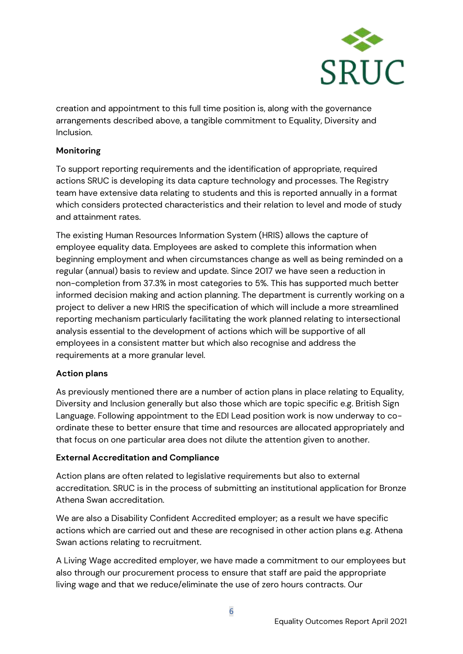

creation and appointment to this full time position is, along with the governance arrangements described above, a tangible commitment to Equality, Diversity and Inclusion.

#### **Monitoring**

To support reporting requirements and the identification of appropriate, required actions SRUC is developing its data capture technology and processes. The Registry team have extensive data relating to students and this is reported annually in a format which considers protected characteristics and their relation to level and mode of study and attainment rates.

The existing Human Resources Information System (HRIS) allows the capture of employee equality data. Employees are asked to complete this information when beginning employment and when circumstances change as well as being reminded on a regular (annual) basis to review and update. Since 2017 we have seen a reduction in non-completion from 37.3% in most categories to 5%. This has supported much better informed decision making and action planning. The department is currently working on a project to deliver a new HRIS the specification of which will include a more streamlined reporting mechanism particularly facilitating the work planned relating to intersectional analysis essential to the development of actions which will be supportive of all employees in a consistent matter but which also recognise and address the requirements at a more granular level.

#### **Action plans**

As previously mentioned there are a number of action plans in place relating to Equality, Diversity and Inclusion generally but also those which are topic specific e.g. British Sign Language. Following appointment to the EDI Lead position work is now underway to coordinate these to better ensure that time and resources are allocated appropriately and that focus on one particular area does not dilute the attention given to another.

#### **External Accreditation and Compliance**

Action plans are often related to legislative requirements but also to external accreditation. SRUC is in the process of submitting an institutional application for Bronze Athena Swan accreditation.

We are also a Disability Confident Accredited employer; as a result we have specific actions which are carried out and these are recognised in other action plans e.g. Athena Swan actions relating to recruitment.

A Living Wage accredited employer, we have made a commitment to our employees but also through our procurement process to ensure that staff are paid the appropriate living wage and that we reduce/eliminate the use of zero hours contracts. Our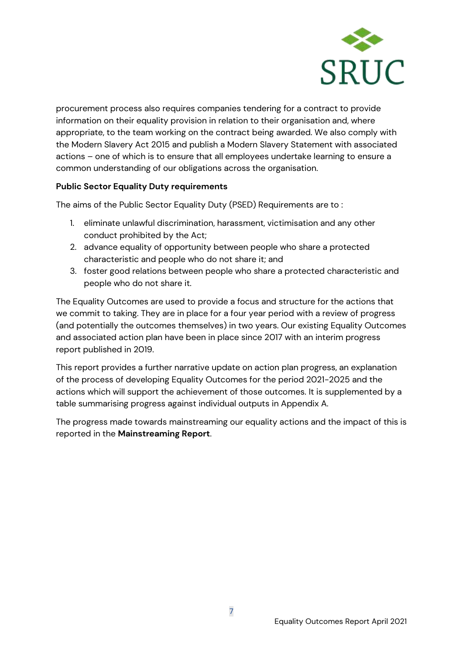

procurement process also requires companies tendering for a contract to provide information on their equality provision in relation to their organisation and, where appropriate, to the team working on the contract being awarded. We also comply with the Modern Slavery Act 2015 and publish a Modern Slavery Statement with associated actions – one of which is to ensure that all employees undertake learning to ensure a common understanding of our obligations across the organisation.

#### **Public Sector Equality Duty requirements**

The aims of the Public Sector Equality Duty (PSED) Requirements are to :

- 1. eliminate unlawful discrimination, harassment, victimisation and any other conduct prohibited by the Act;
- 2. advance equality of opportunity between people who share a protected characteristic and people who do not share it; and
- 3. foster good relations between people who share a protected characteristic and people who do not share it.

The Equality Outcomes are used to provide a focus and structure for the actions that we commit to taking. They are in place for a four year period with a review of progress (and potentially the outcomes themselves) in two years. Our existing Equality Outcomes and associated action plan have been in place since 2017 with an interim progress report published in 2019.

This report provides a further narrative update on action plan progress, an explanation of the process of developing Equality Outcomes for the period 2021-2025 and the actions which will support the achievement of those outcomes. It is supplemented by a table summarising progress against individual outputs in Appendix A.

The progress made towards mainstreaming our equality actions and the impact of this is reported in the **Mainstreaming Report**.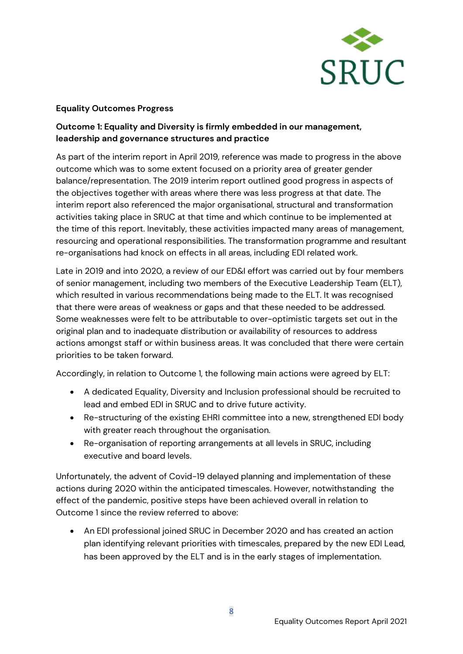

#### **Equality Outcomes Progress**

### **Outcome 1: Equality and Diversity is firmly embedded in our management, leadership and governance structures and practice**

As part of the interim report in April 2019, reference was made to progress in the above outcome which was to some extent focused on a priority area of greater gender balance/representation. The 2019 interim report outlined good progress in aspects of the objectives together with areas where there was less progress at that date. The interim report also referenced the major organisational, structural and transformation activities taking place in SRUC at that time and which continue to be implemented at the time of this report. Inevitably, these activities impacted many areas of management, resourcing and operational responsibilities. The transformation programme and resultant re-organisations had knock on effects in all areas, including EDI related work.

Late in 2019 and into 2020, a review of our ED&I effort was carried out by four members of senior management, including two members of the Executive Leadership Team (ELT), which resulted in various recommendations being made to the ELT. It was recognised that there were areas of weakness or gaps and that these needed to be addressed. Some weaknesses were felt to be attributable to over-optimistic targets set out in the original plan and to inadequate distribution or availability of resources to address actions amongst staff or within business areas. It was concluded that there were certain priorities to be taken forward.

Accordingly, in relation to Outcome 1, the following main actions were agreed by ELT:

- A dedicated Equality, Diversity and Inclusion professional should be recruited to lead and embed EDI in SRUC and to drive future activity.
- Re-structuring of the existing EHRI committee into a new, strengthened EDI body with greater reach throughout the organisation.
- Re-organisation of reporting arrangements at all levels in SRUC, including executive and board levels.

Unfortunately, the advent of Covid-19 delayed planning and implementation of these actions during 2020 within the anticipated timescales. However, notwithstanding the effect of the pandemic, positive steps have been achieved overall in relation to Outcome 1 since the review referred to above:

• An EDI professional joined SRUC in December 2020 and has created an action plan identifying relevant priorities with timescales, prepared by the new EDI Lead, has been approved by the ELT and is in the early stages of implementation.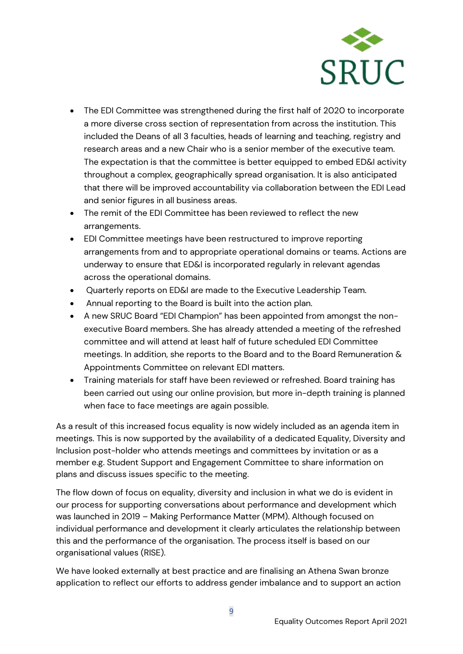

- The EDI Committee was strengthened during the first half of 2020 to incorporate a more diverse cross section of representation from across the institution. This included the Deans of all 3 faculties, heads of learning and teaching, registry and research areas and a new Chair who is a senior member of the executive team. The expectation is that the committee is better equipped to embed ED&I activity throughout a complex, geographically spread organisation. It is also anticipated that there will be improved accountability via collaboration between the EDI Lead and senior figures in all business areas.
- The remit of the EDI Committee has been reviewed to reflect the new arrangements.
- EDI Committee meetings have been restructured to improve reporting arrangements from and to appropriate operational domains or teams. Actions are underway to ensure that ED&I is incorporated regularly in relevant agendas across the operational domains.
- Quarterly reports on ED&I are made to the Executive Leadership Team.
- Annual reporting to the Board is built into the action plan.
- A new SRUC Board "EDI Champion" has been appointed from amongst the nonexecutive Board members. She has already attended a meeting of the refreshed committee and will attend at least half of future scheduled EDI Committee meetings. In addition, she reports to the Board and to the Board Remuneration & Appointments Committee on relevant EDI matters.
- Training materials for staff have been reviewed or refreshed. Board training has been carried out using our online provision, but more in-depth training is planned when face to face meetings are again possible.

As a result of this increased focus equality is now widely included as an agenda item in meetings. This is now supported by the availability of a dedicated Equality, Diversity and Inclusion post-holder who attends meetings and committees by invitation or as a member e.g. Student Support and Engagement Committee to share information on plans and discuss issues specific to the meeting.

The flow down of focus on equality, diversity and inclusion in what we do is evident in our process for supporting conversations about performance and development which was launched in 2019 – Making Performance Matter (MPM). Although focused on individual performance and development it clearly articulates the relationship between this and the performance of the organisation. The process itself is based on our organisational values (RISE).

We have looked externally at best practice and are finalising an Athena Swan bronze application to reflect our efforts to address gender imbalance and to support an action

9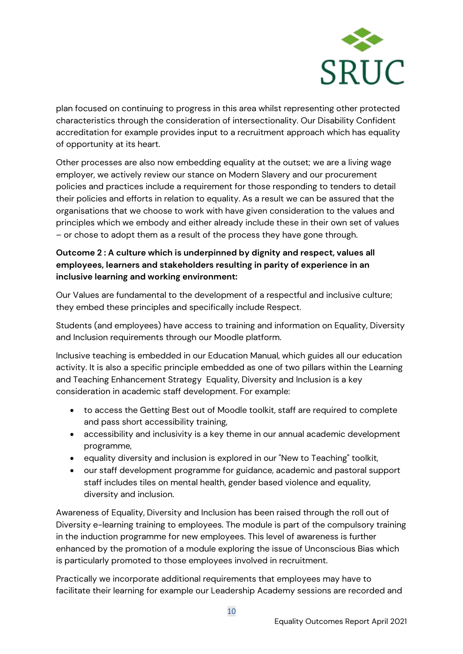

plan focused on continuing to progress in this area whilst representing other protected characteristics through the consideration of intersectionality. Our Disability Confident accreditation for example provides input to a recruitment approach which has equality of opportunity at its heart.

Other processes are also now embedding equality at the outset; we are a living wage employer, we actively review our stance on Modern Slavery and our procurement policies and practices include a requirement for those responding to tenders to detail their policies and efforts in relation to equality. As a result we can be assured that the organisations that we choose to work with have given consideration to the values and principles which we embody and either already include these in their own set of values – or chose to adopt them as a result of the process they have gone through.

## **Outcome 2 : A culture which is underpinned by dignity and respect, values all employees, learners and stakeholders resulting in parity of experience in an inclusive learning and working environment:**

Our Values are fundamental to the development of a respectful and inclusive culture; they embed these principles and specifically include Respect.

Students (and employees) have access to training and information on Equality, Diversity and Inclusion requirements through our Moodle platform.

Inclusive teaching is embedded in our Education Manual, which guides all our education activity. It is also a specific principle embedded as one of two pillars within the Learning and Teaching Enhancement Strategy Equality, Diversity and Inclusion is a key consideration in academic staff development. For example:

- to access the Getting Best out of Moodle toolkit, staff are required to complete and pass short accessibility training,
- accessibility and inclusivity is a key theme in our annual academic development programme,
- equality diversity and inclusion is explored in our "New to Teaching" toolkit,
- our staff development programme for guidance, academic and pastoral support staff includes tiles on mental health, gender based violence and equality, diversity and inclusion.

Awareness of Equality, Diversity and Inclusion has been raised through the roll out of Diversity e-learning training to employees. The module is part of the compulsory training in the induction programme for new employees. This level of awareness is further enhanced by the promotion of a module exploring the issue of Unconscious Bias which is particularly promoted to those employees involved in recruitment.

Practically we incorporate additional requirements that employees may have to facilitate their learning for example our Leadership Academy sessions are recorded and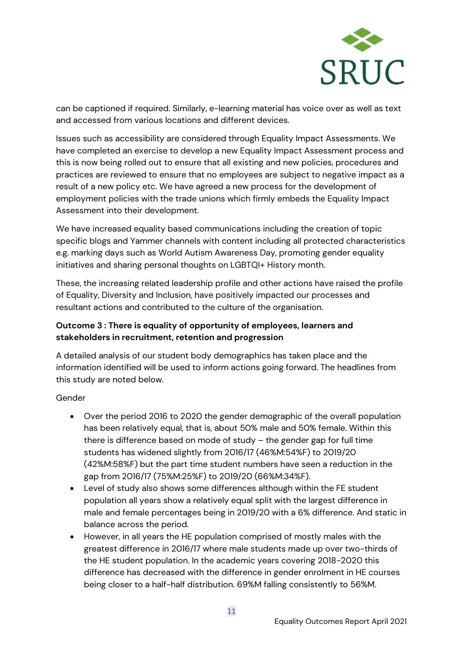

can be captioned if required. Similarly, e-learning material has voice over as well as text and accessed from various locations and different devices.

Issues such as accessibility are considered through Equality Impact Assessments. We have completed an exercise to develop a new Equality Impact Assessment process and this is now being rolled out to ensure that all existing and new policies, procedures and practices are reviewed to ensure that no employees are subject to negative impact as a result of a new policy etc. We have agreed a new process for the development of employment policies with the trade unions which firmly embeds the Equality Impact Assessment into their development.

We have increased equality based communications including the creation of topic specific blogs and Yammer channels with content including all protected characteristics e.g. marking days such as World Autism Awareness Day, promoting gender equality initiatives and sharing personal thoughts on LGBTQI+ History month.

These, the increasing related leadership profile and other actions have raised the profile of Equality, Diversity and Inclusion, have positively impacted our processes and resultant actions and contributed to the culture of the organisation.

### **Outcome 3 : There is equality of opportunity of employees, learners and stakeholders in recruitment, retention and progression**

A detailed analysis of our student body demographics has taken place and the information identified will be used to inform actions going forward. The headlines from this study are noted below.

#### Gender

- Over the period 2016 to 2020 the gender demographic of the overall population has been relatively equal, that is, about 50% male and 50% female. Within this there is difference based on mode of study – the gender gap for full time students has widened slightly from 2016/17 (46%M:54%F) to 2019/20 (42%M:58%F) but the part time student numbers have seen a reduction in the gap from 2016/17 (75%M:25%F) to 2019/20 (66%M:34%F).
- Level of study also shows some differences although within the FE student population all years show a relatively equal split with the largest difference in male and female percentages being in 2019/20 with a 6% difference. And static in balance across the period.
- However, in all years the HE population comprised of mostly males with the greatest difference in 2016/17 where male students made up over two-thirds of the HE student population. In the academic years covering 2018-2020 this difference has decreased with the difference in gender enrolment in HE courses being closer to a half-half distribution. 69%M falling consistently to 56%M.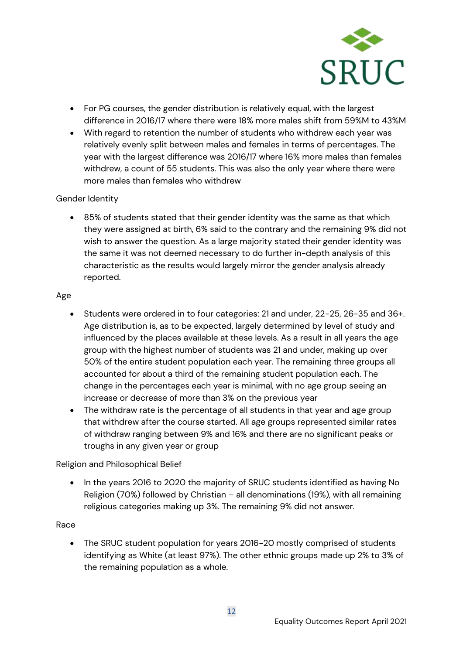

- For PG courses, the gender distribution is relatively equal, with the largest difference in 2016/17 where there were 18% more males shift from 59%M to 43%M
- With regard to retention the number of students who withdrew each year was relatively evenly split between males and females in terms of percentages. The year with the largest difference was 2016/17 where 16% more males than females withdrew, a count of 55 students. This was also the only year where there were more males than females who withdrew

#### Gender Identity

• 85% of students stated that their gender identity was the same as that which they were assigned at birth, 6% said to the contrary and the remaining 9% did not wish to answer the question. As a large majority stated their gender identity was the same it was not deemed necessary to do further in-depth analysis of this characteristic as the results would largely mirror the gender analysis already reported.

#### Age

- Students were ordered in to four categories: 21 and under, 22-25, 26-35 and 36+. Age distribution is, as to be expected, largely determined by level of study and influenced by the places available at these levels. As a result in all years the age group with the highest number of students was 21 and under, making up over 50% of the entire student population each year. The remaining three groups all accounted for about a third of the remaining student population each. The change in the percentages each year is minimal, with no age group seeing an increase or decrease of more than 3% on the previous year
- The withdraw rate is the percentage of all students in that year and age group that withdrew after the course started. All age groups represented similar rates of withdraw ranging between 9% and 16% and there are no significant peaks or troughs in any given year or group

#### Religion and Philosophical Belief

• In the years 2016 to 2020 the majority of SRUC students identified as having No Religion (70%) followed by Christian – all denominations (19%), with all remaining religious categories making up 3%. The remaining 9% did not answer.

#### Race

• The SRUC student population for years 2016-20 mostly comprised of students identifying as White (at least 97%). The other ethnic groups made up 2% to 3% of the remaining population as a whole.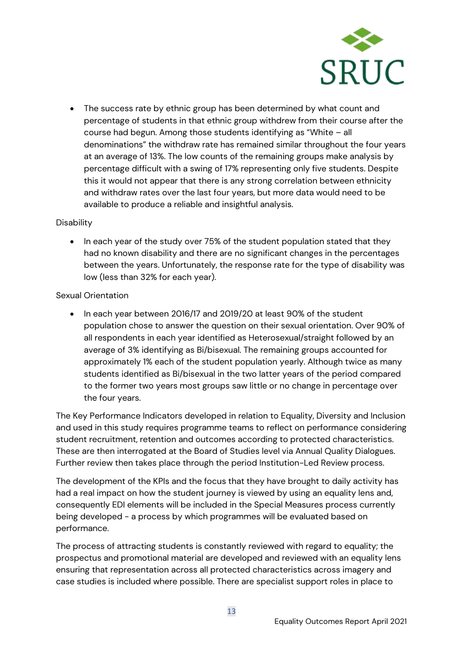

• The success rate by ethnic group has been determined by what count and percentage of students in that ethnic group withdrew from their course after the course had begun. Among those students identifying as "White – all denominations" the withdraw rate has remained similar throughout the four years at an average of 13%. The low counts of the remaining groups make analysis by percentage difficult with a swing of 17% representing only five students. Despite this it would not appear that there is any strong correlation between ethnicity and withdraw rates over the last four years, but more data would need to be available to produce a reliable and insightful analysis.

#### **Disability**

• In each year of the study over 75% of the student population stated that they had no known disability and there are no significant changes in the percentages between the years. Unfortunately, the response rate for the type of disability was low (less than 32% for each year).

#### Sexual Orientation

• In each year between 2016/17 and 2019/20 at least 90% of the student population chose to answer the question on their sexual orientation. Over 90% of all respondents in each year identified as Heterosexual/straight followed by an average of 3% identifying as Bi/bisexual. The remaining groups accounted for approximately 1% each of the student population yearly. Although twice as many students identified as Bi/bisexual in the two latter years of the period compared to the former two years most groups saw little or no change in percentage over the four years.

The Key Performance Indicators developed in relation to Equality, Diversity and Inclusion and used in this study requires programme teams to reflect on performance considering student recruitment, retention and outcomes according to protected characteristics. These are then interrogated at the Board of Studies level via Annual Quality Dialogues. Further review then takes place through the period Institution-Led Review process.

The development of the KPIs and the focus that they have brought to daily activity has had a real impact on how the student journey is viewed by using an equality lens and, consequently EDI elements will be included in the Special Measures process currently being developed - a process by which programmes will be evaluated based on performance.

The process of attracting students is constantly reviewed with regard to equality; the prospectus and promotional material are developed and reviewed with an equality lens ensuring that representation across all protected characteristics across imagery and case studies is included where possible. There are specialist support roles in place to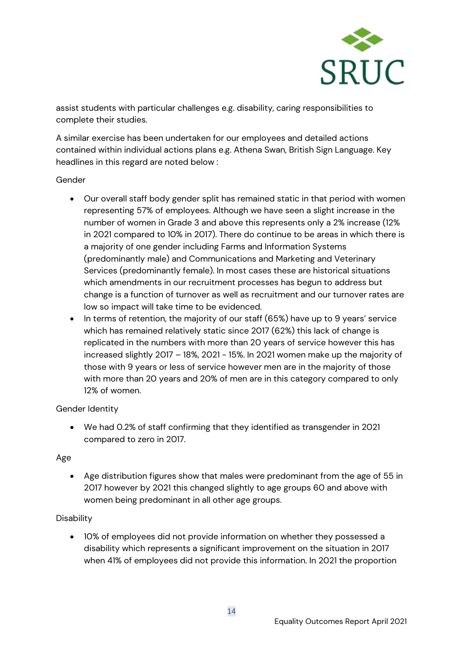

assist students with particular challenges e.g. disability, caring responsibilities to complete their studies.

A similar exercise has been undertaken for our employees and detailed actions contained within individual actions plans e.g. Athena Swan, British Sign Language. Key headlines in this regard are noted below :

#### Gender

- Our overall staff body gender split has remained static in that period with women representing 57% of employees. Although we have seen a slight increase in the number of women in Grade 3 and above this represents only a 2% increase (12% in 2021 compared to 10% in 2017). There do continue to be areas in which there is a majority of one gender including Farms and Information Systems (predominantly male) and Communications and Marketing and Veterinary Services (predominantly female). In most cases these are historical situations which amendments in our recruitment processes has begun to address but change is a function of turnover as well as recruitment and our turnover rates are low so impact will take time to be evidenced.
- In terms of retention, the majority of our staff (65%) have up to 9 years' service which has remained relatively static since 2017 (62%) this lack of change is replicated in the numbers with more than 20 years of service however this has increased slightly 2017 – 18%, 2021 - 15%. In 2021 women make up the majority of those with 9 years or less of service however men are in the majority of those with more than 20 years and 20% of men are in this category compared to only 12% of women.

#### Gender Identity

• We had 0.2% of staff confirming that they identified as transgender in 2021 compared to zero in 2017.

#### Age

• Age distribution figures show that males were predominant from the age of 55 in 2017 however by 2021 this changed slightly to age groups 60 and above with women being predominant in all other age groups.

#### **Disability**

• 10% of employees did not provide information on whether they possessed a disability which represents a significant improvement on the situation in 2017 when 41% of employees did not provide this information. In 2021 the proportion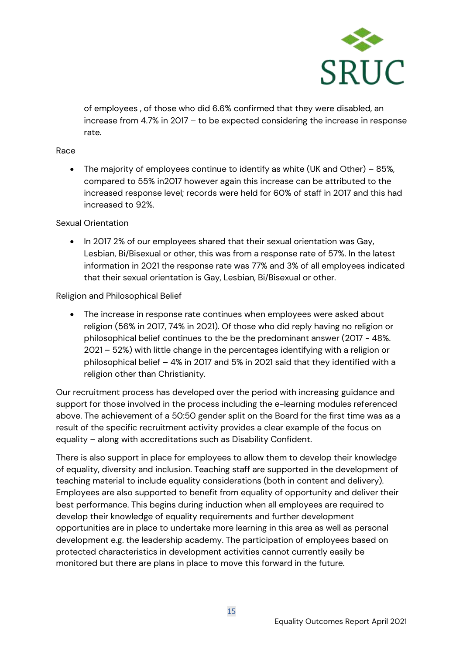

of employees , of those who did 6.6% confirmed that they were disabled, an increase from 4.7% in 2017 – to be expected considering the increase in response rate.

#### Race

• The majority of employees continue to identify as white (UK and Other) – 85%, compared to 55% in2017 however again this increase can be attributed to the increased response level; records were held for 60% of staff in 2017 and this had increased to 92%.

#### Sexual Orientation

• In 2017 2% of our employees shared that their sexual orientation was Gay, Lesbian, Bi/Bisexual or other, this was from a response rate of 57%. In the latest information in 2021 the response rate was 77% and 3% of all employees indicated that their sexual orientation is Gay, Lesbian, Bi/Bisexual or other.

#### Religion and Philosophical Belief

• The increase in response rate continues when employees were asked about religion (56% in 2017, 74% in 2021). Of those who did reply having no religion or philosophical belief continues to the be the predominant answer (2017 - 48%. 2021 – 52%) with little change in the percentages identifying with a religion or philosophical belief – 4% in 2017 and 5% in 2021 said that they identified with a religion other than Christianity.

Our recruitment process has developed over the period with increasing guidance and support for those involved in the process including the e-learning modules referenced above. The achievement of a 50:50 gender split on the Board for the first time was as a result of the specific recruitment activity provides a clear example of the focus on equality – along with accreditations such as Disability Confident.

There is also support in place for employees to allow them to develop their knowledge of equality, diversity and inclusion. Teaching staff are supported in the development of teaching material to include equality considerations (both in content and delivery). Employees are also supported to benefit from equality of opportunity and deliver their best performance. This begins during induction when all employees are required to develop their knowledge of equality requirements and further development opportunities are in place to undertake more learning in this area as well as personal development e.g. the leadership academy. The participation of employees based on protected characteristics in development activities cannot currently easily be monitored but there are plans in place to move this forward in the future.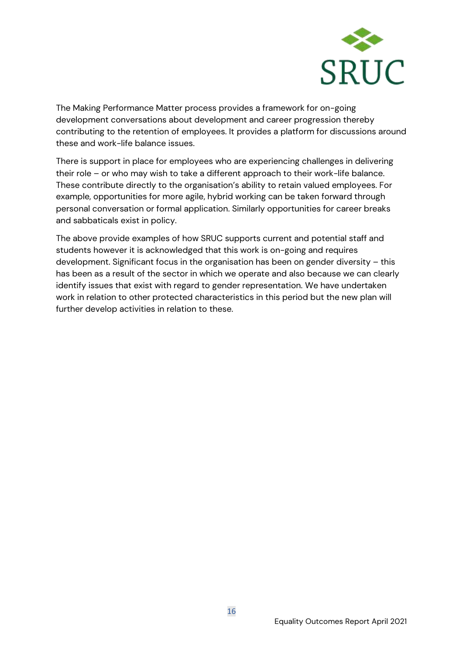

The Making Performance Matter process provides a framework for on-going development conversations about development and career progression thereby contributing to the retention of employees. It provides a platform for discussions around these and work-life balance issues.

There is support in place for employees who are experiencing challenges in delivering their role – or who may wish to take a different approach to their work-life balance. These contribute directly to the organisation's ability to retain valued employees. For example, opportunities for more agile, hybrid working can be taken forward through personal conversation or formal application. Similarly opportunities for career breaks and sabbaticals exist in policy.

The above provide examples of how SRUC supports current and potential staff and students however it is acknowledged that this work is on-going and requires development. Significant focus in the organisation has been on gender diversity – this has been as a result of the sector in which we operate and also because we can clearly identify issues that exist with regard to gender representation. We have undertaken work in relation to other protected characteristics in this period but the new plan will further develop activities in relation to these.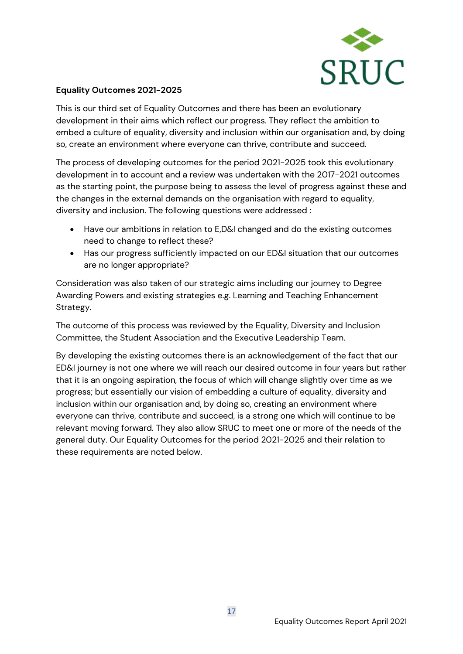

#### **Equality Outcomes 2021-2025**

This is our third set of Equality Outcomes and there has been an evolutionary development in their aims which reflect our progress. They reflect the ambition to embed a culture of equality, diversity and inclusion within our organisation and, by doing so, create an environment where everyone can thrive, contribute and succeed.

The process of developing outcomes for the period 2021-2025 took this evolutionary development in to account and a review was undertaken with the 2017-2021 outcomes as the starting point, the purpose being to assess the level of progress against these and the changes in the external demands on the organisation with regard to equality, diversity and inclusion. The following questions were addressed :

- Have our ambitions in relation to E,D&I changed and do the existing outcomes need to change to reflect these?
- Has our progress sufficiently impacted on our ED&I situation that our outcomes are no longer appropriate?

Consideration was also taken of our strategic aims including our journey to Degree Awarding Powers and existing strategies e.g. Learning and Teaching Enhancement Strategy.

The outcome of this process was reviewed by the Equality, Diversity and Inclusion Committee, the Student Association and the Executive Leadership Team.

By developing the existing outcomes there is an acknowledgement of the fact that our ED&I journey is not one where we will reach our desired outcome in four years but rather that it is an ongoing aspiration, the focus of which will change slightly over time as we progress; but essentially our vision of embedding a culture of equality, diversity and inclusion within our organisation and, by doing so, creating an environment where everyone can thrive, contribute and succeed, is a strong one which will continue to be relevant moving forward. They also allow SRUC to meet one or more of the needs of the general duty. Our Equality Outcomes for the period 2021-2025 and their relation to these requirements are noted below.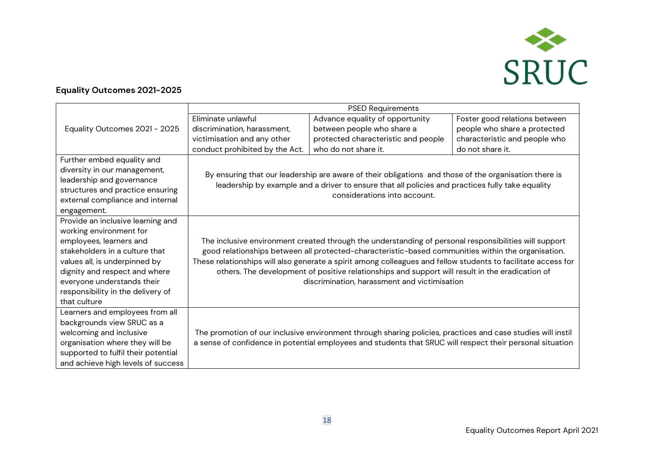

#### **Equality Outcomes 2021-2025**

|                                     | <b>PSED Requirements</b>                                                                                      |                                                                                                             |                               |
|-------------------------------------|---------------------------------------------------------------------------------------------------------------|-------------------------------------------------------------------------------------------------------------|-------------------------------|
|                                     | Eliminate unlawful                                                                                            | Advance equality of opportunity                                                                             | Foster good relations between |
| Equality Outcomes 2021 - 2025       | discrimination, harassment,                                                                                   | between people who share a                                                                                  | people who share a protected  |
|                                     | victimisation and any other                                                                                   | protected characteristic and people                                                                         | characteristic and people who |
|                                     | conduct prohibited by the Act.                                                                                | who do not share it.                                                                                        | do not share it.              |
| Further embed equality and          |                                                                                                               |                                                                                                             |                               |
| diversity in our management,        |                                                                                                               | By ensuring that our leadership are aware of their obligations and those of the organisation there is       |                               |
| leadership and governance           |                                                                                                               | leadership by example and a driver to ensure that all policies and practices fully take equality            |                               |
| structures and practice ensuring    |                                                                                                               | considerations into account.                                                                                |                               |
| external compliance and internal    |                                                                                                               |                                                                                                             |                               |
| engagement.                         |                                                                                                               |                                                                                                             |                               |
| Provide an inclusive learning and   |                                                                                                               |                                                                                                             |                               |
| working environment for             |                                                                                                               |                                                                                                             |                               |
| employees, learners and             | The inclusive environment created through the understanding of personal responsibilities will support         |                                                                                                             |                               |
| stakeholders in a culture that      | good relationships between all protected-characteristic-based communities within the organisation.            |                                                                                                             |                               |
| values all, is underpinned by       | These relationships will also generate a spirit among colleagues and fellow students to facilitate access for |                                                                                                             |                               |
| dignity and respect and where       | others. The development of positive relationships and support will result in the eradication of               |                                                                                                             |                               |
| everyone understands their          |                                                                                                               | discrimination, harassment and victimisation                                                                |                               |
| responsibility in the delivery of   |                                                                                                               |                                                                                                             |                               |
| that culture                        |                                                                                                               |                                                                                                             |                               |
| Learners and employees from all     |                                                                                                               |                                                                                                             |                               |
| backgrounds view SRUC as a          |                                                                                                               |                                                                                                             |                               |
| welcoming and inclusive             |                                                                                                               | The promotion of our inclusive environment through sharing policies, practices and case studies will instil |                               |
| organisation where they will be     |                                                                                                               | a sense of confidence in potential employees and students that SRUC will respect their personal situation   |                               |
| supported to fulfil their potential |                                                                                                               |                                                                                                             |                               |
| and achieve high levels of success  |                                                                                                               |                                                                                                             |                               |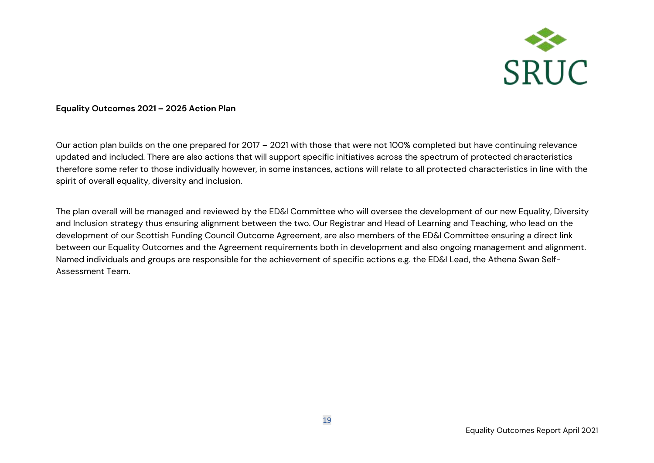

#### **Equality Outcomes 2021 – 2025 Action Plan**

Our action plan builds on the one prepared for 2017 – 2021 with those that were not 100% completed but have continuing relevance updated and included. There are also actions that will support specific initiatives across the spectrum of protected characteristics therefore some refer to those individually however, in some instances, actions will relate to all protected characteristics in line with the spirit of overall equality, diversity and inclusion.

The plan overall will be managed and reviewed by the ED&I Committee who will oversee the development of our new Equality, Diversity and Inclusion strategy thus ensuring alignment between the two. Our Registrar and Head of Learning and Teaching, who lead on the development of our Scottish Funding Council Outcome Agreement, are also members of the ED&I Committee ensuring a direct link between our Equality Outcomes and the Agreement requirements both in development and also ongoing management and alignment. Named individuals and groups are responsible for the achievement of specific actions e.g. the ED&I Lead, the Athena Swan Self-Assessment Team.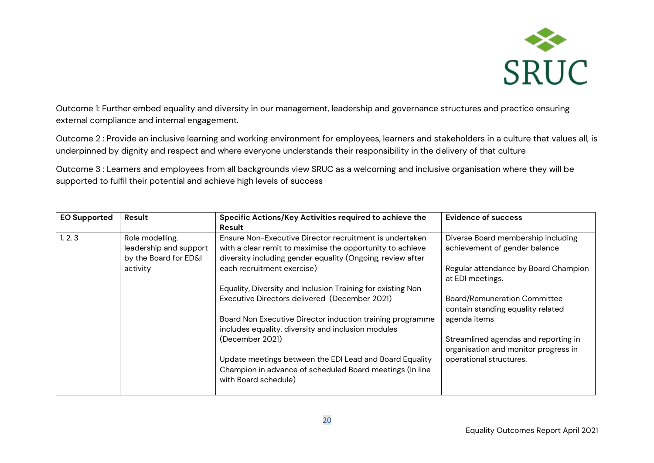

Outcome 1: Further embed equality and diversity in our management, leadership and governance structures and practice ensuring external compliance and internal engagement.

Outcome 2 : Provide an inclusive learning and working environment for employees, learners and stakeholders in a culture that values all, is underpinned by dignity and respect and where everyone understands their responsibility in the delivery of that culture

Outcome 3 : Learners and employees from all backgrounds view SRUC as a welcoming and inclusive organisation where they will be supported to fulfil their potential and achieve high levels of success

| <b>EO Supported</b> | Result                 | Specific Actions/Key Activities required to achieve the     | <b>Evidence of success</b>           |
|---------------------|------------------------|-------------------------------------------------------------|--------------------------------------|
|                     |                        | Result                                                      |                                      |
| 1, 2, 3             | Role modelling,        | Ensure Non-Executive Director recruitment is undertaken     | Diverse Board membership including   |
|                     | leadership and support | with a clear remit to maximise the opportunity to achieve   | achievement of gender balance        |
|                     | by the Board for ED&I  | diversity including gender equality (Ongoing, review after  |                                      |
|                     | activity               | each recruitment exercise)                                  | Regular attendance by Board Champion |
|                     |                        |                                                             | at EDI meetings.                     |
|                     |                        | Equality, Diversity and Inclusion Training for existing Non |                                      |
|                     |                        | Executive Directors delivered (December 2021)               | <b>Board/Remuneration Committee</b>  |
|                     |                        |                                                             | contain standing equality related    |
|                     |                        | Board Non Executive Director induction training programme   | agenda items                         |
|                     |                        | includes equality, diversity and inclusion modules          |                                      |
|                     |                        | (December 2021)                                             | Streamlined agendas and reporting in |
|                     |                        |                                                             | organisation and monitor progress in |
|                     |                        | Update meetings between the EDI Lead and Board Equality     | operational structures.              |
|                     |                        | Champion in advance of scheduled Board meetings (In line    |                                      |
|                     |                        | with Board schedule)                                        |                                      |
|                     |                        |                                                             |                                      |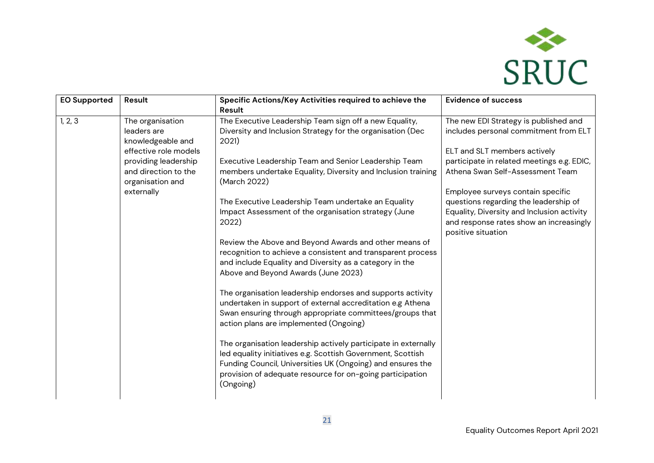

| <b>EO Supported</b> | Result                                                                                                                                                          | Specific Actions/Key Activities required to achieve the<br>Result                                                                                                                                                                                                                                                                                                                                                                                                                                                                                                                                                                                                                                                                                                                                                                                                                                                                                                                                                                                                                                                                  | <b>Evidence of success</b>                                                                                                                                                                                                                                                                                                                                                                    |
|---------------------|-----------------------------------------------------------------------------------------------------------------------------------------------------------------|------------------------------------------------------------------------------------------------------------------------------------------------------------------------------------------------------------------------------------------------------------------------------------------------------------------------------------------------------------------------------------------------------------------------------------------------------------------------------------------------------------------------------------------------------------------------------------------------------------------------------------------------------------------------------------------------------------------------------------------------------------------------------------------------------------------------------------------------------------------------------------------------------------------------------------------------------------------------------------------------------------------------------------------------------------------------------------------------------------------------------------|-----------------------------------------------------------------------------------------------------------------------------------------------------------------------------------------------------------------------------------------------------------------------------------------------------------------------------------------------------------------------------------------------|
| 1, 2, 3             | The organisation<br>leaders are<br>knowledgeable and<br>effective role models<br>providing leadership<br>and direction to the<br>organisation and<br>externally | The Executive Leadership Team sign off a new Equality,<br>Diversity and Inclusion Strategy for the organisation (Dec<br>2021)<br>Executive Leadership Team and Senior Leadership Team<br>members undertake Equality, Diversity and Inclusion training<br>(March 2022)<br>The Executive Leadership Team undertake an Equality<br>Impact Assessment of the organisation strategy (June<br>2022)<br>Review the Above and Beyond Awards and other means of<br>recognition to achieve a consistent and transparent process<br>and include Equality and Diversity as a category in the<br>Above and Beyond Awards (June 2023)<br>The organisation leadership endorses and supports activity<br>undertaken in support of external accreditation e.g Athena<br>Swan ensuring through appropriate committees/groups that<br>action plans are implemented (Ongoing)<br>The organisation leadership actively participate in externally<br>led equality initiatives e.g. Scottish Government, Scottish<br>Funding Council, Universities UK (Ongoing) and ensures the<br>provision of adequate resource for on-going participation<br>(Ongoing) | The new EDI Strategy is published and<br>includes personal commitment from ELT<br>ELT and SLT members actively<br>participate in related meetings e.g. EDIC,<br>Athena Swan Self-Assessment Team<br>Employee surveys contain specific<br>questions regarding the leadership of<br>Equality, Diversity and Inclusion activity<br>and response rates show an increasingly<br>positive situation |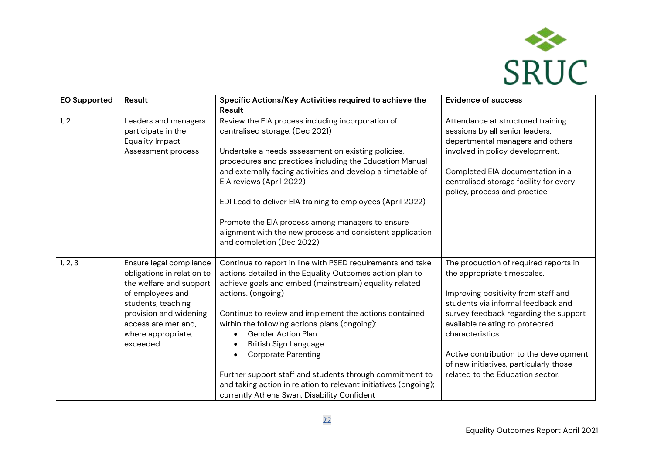

| <b>EO Supported</b> | Result                                                                                                                                                                                                        | Specific Actions/Key Activities required to achieve the<br>Result                                                                                                                                                                                                                                                                                                                                                                                                                                                                                                                   | <b>Evidence of success</b>                                                                                                                                                                                                                                                                                                                                                |
|---------------------|---------------------------------------------------------------------------------------------------------------------------------------------------------------------------------------------------------------|-------------------------------------------------------------------------------------------------------------------------------------------------------------------------------------------------------------------------------------------------------------------------------------------------------------------------------------------------------------------------------------------------------------------------------------------------------------------------------------------------------------------------------------------------------------------------------------|---------------------------------------------------------------------------------------------------------------------------------------------------------------------------------------------------------------------------------------------------------------------------------------------------------------------------------------------------------------------------|
| 1, 2                | Leaders and managers<br>participate in the<br>Equality Impact<br>Assessment process                                                                                                                           | Review the EIA process including incorporation of<br>centralised storage. (Dec 2021)<br>Undertake a needs assessment on existing policies,<br>procedures and practices including the Education Manual<br>and externally facing activities and develop a timetable of<br>EIA reviews (April 2022)<br>EDI Lead to deliver EIA training to employees (April 2022)<br>Promote the EIA process among managers to ensure<br>alignment with the new process and consistent application<br>and completion (Dec 2022)                                                                        | Attendance at structured training<br>sessions by all senior leaders,<br>departmental managers and others<br>involved in policy development.<br>Completed EIA documentation in a<br>centralised storage facility for every<br>policy, process and practice.                                                                                                                |
| 1, 2, 3             | Ensure legal compliance<br>obligations in relation to<br>the welfare and support<br>of employees and<br>students, teaching<br>provision and widening<br>access are met and,<br>where appropriate,<br>exceeded | Continue to report in line with PSED requirements and take<br>actions detailed in the Equality Outcomes action plan to<br>achieve goals and embed (mainstream) equality related<br>actions. (ongoing)<br>Continue to review and implement the actions contained<br>within the following actions plans (ongoing):<br><b>Gender Action Plan</b><br>British Sign Language<br><b>Corporate Parenting</b><br>Further support staff and students through commitment to<br>and taking action in relation to relevant initiatives (ongoing);<br>currently Athena Swan, Disability Confident | The production of required reports in<br>the appropriate timescales.<br>Improving positivity from staff and<br>students via informal feedback and<br>survey feedback regarding the support<br>available relating to protected<br>characteristics.<br>Active contribution to the development<br>of new initiatives, particularly those<br>related to the Education sector. |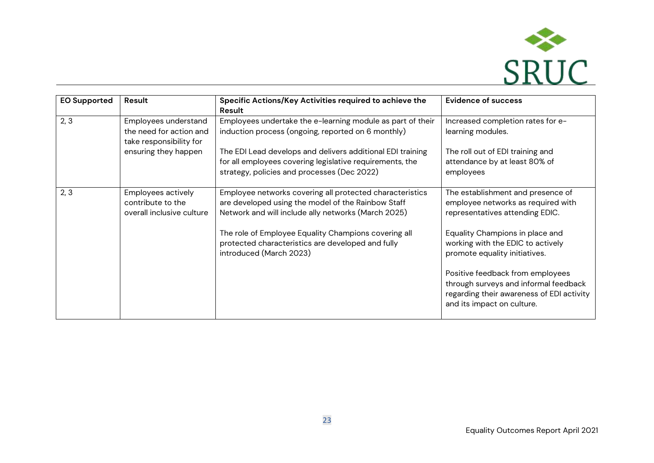

| <b>EO Supported</b> | Result                                                                     | Specific Actions/Key Activities required to achieve the<br>Result                                                                                                     | <b>Evidence of success</b>                                                                                                                           |
|---------------------|----------------------------------------------------------------------------|-----------------------------------------------------------------------------------------------------------------------------------------------------------------------|------------------------------------------------------------------------------------------------------------------------------------------------------|
| 2, 3                | Employees understand<br>the need for action and<br>take responsibility for | Employees undertake the e-learning module as part of their<br>induction process (ongoing, reported on 6 monthly)                                                      | Increased completion rates for e-<br>learning modules.                                                                                               |
|                     | ensuring they happen                                                       | The EDI Lead develops and delivers additional EDI training<br>for all employees covering legislative requirements, the<br>strategy, policies and processes (Dec 2022) | The roll out of EDI training and<br>attendance by at least 80% of<br>employees                                                                       |
| 2, 3                | Employees actively<br>contribute to the<br>overall inclusive culture       | Employee networks covering all protected characteristics<br>are developed using the model of the Rainbow Staff<br>Network and will include ally networks (March 2025) | The establishment and presence of<br>employee networks as required with<br>representatives attending EDIC.                                           |
|                     |                                                                            | The role of Employee Equality Champions covering all<br>protected characteristics are developed and fully<br>introduced (March 2023)                                  | Equality Champions in place and<br>working with the EDIC to actively<br>promote equality initiatives.                                                |
|                     |                                                                            |                                                                                                                                                                       | Positive feedback from employees<br>through surveys and informal feedback<br>regarding their awareness of EDI activity<br>and its impact on culture. |

.<br>.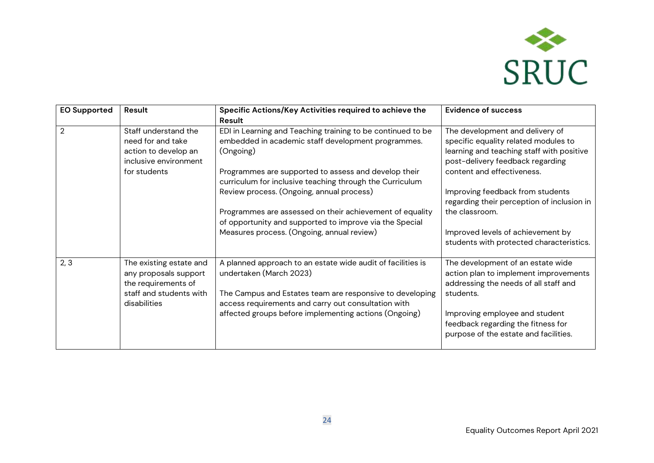

| <b>EO Supported</b> | Result                                                                                                             | Specific Actions/Key Activities required to achieve the<br>Result                                                                                                                                                                                                                                                                                                                                                                                                    | <b>Evidence of success</b>                                                                                                                                                                                                                                                                                                                                                  |
|---------------------|--------------------------------------------------------------------------------------------------------------------|----------------------------------------------------------------------------------------------------------------------------------------------------------------------------------------------------------------------------------------------------------------------------------------------------------------------------------------------------------------------------------------------------------------------------------------------------------------------|-----------------------------------------------------------------------------------------------------------------------------------------------------------------------------------------------------------------------------------------------------------------------------------------------------------------------------------------------------------------------------|
| $\overline{2}$      | Staff understand the<br>need for and take<br>action to develop an<br>inclusive environment<br>for students         | EDI in Learning and Teaching training to be continued to be<br>embedded in academic staff development programmes.<br>(Ongoing)<br>Programmes are supported to assess and develop their<br>curriculum for inclusive teaching through the Curriculum<br>Review process. (Ongoing, annual process)<br>Programmes are assessed on their achievement of equality<br>of opportunity and supported to improve via the Special<br>Measures process. (Ongoing, annual review) | The development and delivery of<br>specific equality related modules to<br>learning and teaching staff with positive<br>post-delivery feedback regarding<br>content and effectiveness.<br>Improving feedback from students<br>regarding their perception of inclusion in<br>the classroom.<br>Improved levels of achievement by<br>students with protected characteristics. |
| 2, 3                | The existing estate and<br>any proposals support<br>the requirements of<br>staff and students with<br>disabilities | A planned approach to an estate wide audit of facilities is<br>undertaken (March 2023)<br>The Campus and Estates team are responsive to developing<br>access requirements and carry out consultation with<br>affected groups before implementing actions (Ongoing)                                                                                                                                                                                                   | The development of an estate wide<br>action plan to implement improvements<br>addressing the needs of all staff and<br>students.<br>Improving employee and student<br>feedback regarding the fitness for<br>purpose of the estate and facilities.                                                                                                                           |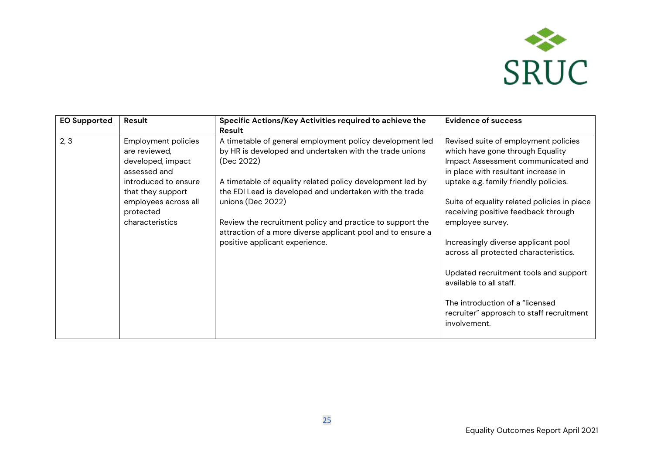

| <b>EO Supported</b> | Result                                                                                                                                                                                | Specific Actions/Key Activities required to achieve the<br>Result                                                                                                                                                                                                                                                                                                                                                                            | <b>Evidence of success</b>                                                                                                                                                                                                                                                                                                                                                                                                                                                                                                                                   |
|---------------------|---------------------------------------------------------------------------------------------------------------------------------------------------------------------------------------|----------------------------------------------------------------------------------------------------------------------------------------------------------------------------------------------------------------------------------------------------------------------------------------------------------------------------------------------------------------------------------------------------------------------------------------------|--------------------------------------------------------------------------------------------------------------------------------------------------------------------------------------------------------------------------------------------------------------------------------------------------------------------------------------------------------------------------------------------------------------------------------------------------------------------------------------------------------------------------------------------------------------|
| 2, 3                | <b>Employment policies</b><br>are reviewed,<br>developed, impact<br>assessed and<br>introduced to ensure<br>that they support<br>employees across all<br>protected<br>characteristics | A timetable of general employment policy development led<br>by HR is developed and undertaken with the trade unions<br>(Dec 2022)<br>A timetable of equality related policy development led by<br>the EDI Lead is developed and undertaken with the trade<br>unions (Dec 2022)<br>Review the recruitment policy and practice to support the<br>attraction of a more diverse applicant pool and to ensure a<br>positive applicant experience. | Revised suite of employment policies<br>which have gone through Equality<br>Impact Assessment communicated and<br>in place with resultant increase in<br>uptake e.g. family friendly policies.<br>Suite of equality related policies in place<br>receiving positive feedback through<br>employee survey.<br>Increasingly diverse applicant pool<br>across all protected characteristics.<br>Updated recruitment tools and support<br>available to all staff.<br>The introduction of a "licensed"<br>recruiter" approach to staff recruitment<br>involvement. |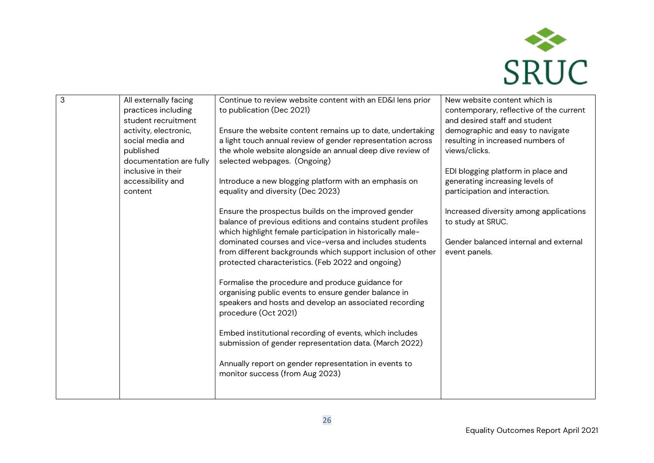

| 3 | All externally facing<br>practices including<br>student recruitment<br>activity, electronic,<br>social media and<br>published<br>documentation are fully<br>inclusive in their<br>accessibility and<br>content | Continue to review website content with an ED&I lens prior<br>to publication (Dec 2021)<br>Ensure the website content remains up to date, undertaking<br>a light touch annual review of gender representation across<br>the whole website alongside an annual deep dive review of<br>selected webpages. (Ongoing)<br>Introduce a new blogging platform with an emphasis on<br>equality and diversity (Dec 2023)<br>Ensure the prospectus builds on the improved gender<br>balance of previous editions and contains student profiles<br>which highlight female participation in historically male-<br>dominated courses and vice-versa and includes students<br>from different backgrounds which support inclusion of other<br>protected characteristics. (Feb 2022 and ongoing)<br>Formalise the procedure and produce guidance for<br>organising public events to ensure gender balance in<br>speakers and hosts and develop an associated recording<br>procedure (Oct 2021)<br>Embed institutional recording of events, which includes<br>submission of gender representation data. (March 2022)<br>Annually report on gender representation in events to<br>monitor success (from Aug 2023) | New website content which is<br>contemporary, reflective of the current<br>and desired staff and student<br>demographic and easy to navigate<br>resulting in increased numbers of<br>views/clicks.<br>EDI blogging platform in place and<br>generating increasing levels of<br>participation and interaction.<br>Increased diversity among applications<br>to study at SRUC.<br>Gender balanced internal and external<br>event panels. |
|---|----------------------------------------------------------------------------------------------------------------------------------------------------------------------------------------------------------------|-------------------------------------------------------------------------------------------------------------------------------------------------------------------------------------------------------------------------------------------------------------------------------------------------------------------------------------------------------------------------------------------------------------------------------------------------------------------------------------------------------------------------------------------------------------------------------------------------------------------------------------------------------------------------------------------------------------------------------------------------------------------------------------------------------------------------------------------------------------------------------------------------------------------------------------------------------------------------------------------------------------------------------------------------------------------------------------------------------------------------------------------------------------------------------------------------|----------------------------------------------------------------------------------------------------------------------------------------------------------------------------------------------------------------------------------------------------------------------------------------------------------------------------------------------------------------------------------------------------------------------------------------|
|   |                                                                                                                                                                                                                |                                                                                                                                                                                                                                                                                                                                                                                                                                                                                                                                                                                                                                                                                                                                                                                                                                                                                                                                                                                                                                                                                                                                                                                                 |                                                                                                                                                                                                                                                                                                                                                                                                                                        |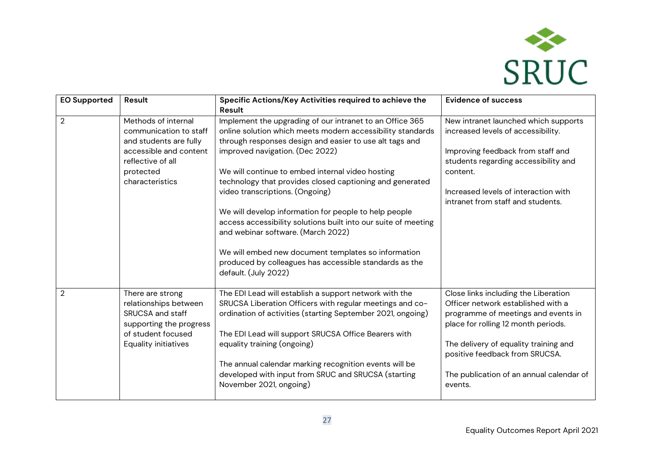

| <b>EO Supported</b> | Result                                                                                                                                                 | Specific Actions/Key Activities required to achieve the                                                                                                                                                                                                                                                                                                                                                                                                                                                                                                                                                                                                   | <b>Evidence of success</b>                                                                                                                                                                                                                                                                 |
|---------------------|--------------------------------------------------------------------------------------------------------------------------------------------------------|-----------------------------------------------------------------------------------------------------------------------------------------------------------------------------------------------------------------------------------------------------------------------------------------------------------------------------------------------------------------------------------------------------------------------------------------------------------------------------------------------------------------------------------------------------------------------------------------------------------------------------------------------------------|--------------------------------------------------------------------------------------------------------------------------------------------------------------------------------------------------------------------------------------------------------------------------------------------|
|                     |                                                                                                                                                        | Result                                                                                                                                                                                                                                                                                                                                                                                                                                                                                                                                                                                                                                                    |                                                                                                                                                                                                                                                                                            |
| $\overline{2}$      | Methods of internal<br>communication to staff<br>and students are fully<br>accessible and content<br>reflective of all<br>protected<br>characteristics | Implement the upgrading of our intranet to an Office 365<br>online solution which meets modern accessibility standards<br>through responses design and easier to use alt tags and<br>improved navigation. (Dec 2022)<br>We will continue to embed internal video hosting<br>technology that provides closed captioning and generated<br>video transcriptions. (Ongoing)<br>We will develop information for people to help people<br>access accessibility solutions built into our suite of meeting<br>and webinar software. (March 2022)<br>We will embed new document templates so information<br>produced by colleagues has accessible standards as the | New intranet launched which supports<br>increased levels of accessibility.<br>Improving feedback from staff and<br>students regarding accessibility and<br>content.<br>Increased levels of interaction with<br>intranet from staff and students.                                           |
|                     |                                                                                                                                                        | default. (July 2022)                                                                                                                                                                                                                                                                                                                                                                                                                                                                                                                                                                                                                                      |                                                                                                                                                                                                                                                                                            |
| $\overline{2}$      | There are strong<br>relationships between<br>SRUCSA and staff<br>supporting the progress<br>of student focused<br><b>Equality initiatives</b>          | The EDI Lead will establish a support network with the<br>SRUCSA Liberation Officers with regular meetings and co-<br>ordination of activities (starting September 2021, ongoing)<br>The EDI Lead will support SRUCSA Office Bearers with<br>equality training (ongoing)<br>The annual calendar marking recognition events will be<br>developed with input from SRUC and SRUCSA (starting<br>November 2021, ongoing)                                                                                                                                                                                                                                      | Close links including the Liberation<br>Officer network established with a<br>programme of meetings and events in<br>place for rolling 12 month periods.<br>The delivery of equality training and<br>positive feedback from SRUCSA.<br>The publication of an annual calendar of<br>events. |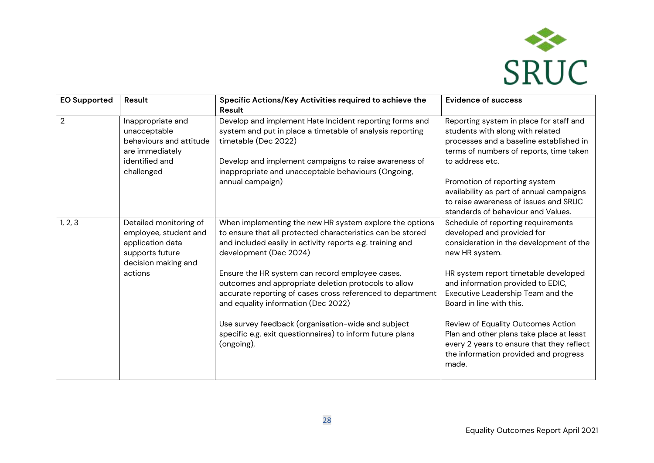

| <b>EO Supported</b> | Result                                                                                                          | Specific Actions/Key Activities required to achieve the<br>Result                                                                                                                                                                                            | <b>Evidence of success</b>                                                                                                                                                           |
|---------------------|-----------------------------------------------------------------------------------------------------------------|--------------------------------------------------------------------------------------------------------------------------------------------------------------------------------------------------------------------------------------------------------------|--------------------------------------------------------------------------------------------------------------------------------------------------------------------------------------|
| $\overline{2}$      | Inappropriate and<br>unacceptable<br>behaviours and attitude<br>are immediately<br>identified and<br>challenged | Develop and implement Hate Incident reporting forms and<br>system and put in place a timetable of analysis reporting<br>timetable (Dec 2022)<br>Develop and implement campaigns to raise awareness of<br>inappropriate and unacceptable behaviours (Ongoing, | Reporting system in place for staff and<br>students with along with related<br>processes and a baseline established in<br>terms of numbers of reports, time taken<br>to address etc. |
|                     |                                                                                                                 | annual campaign)                                                                                                                                                                                                                                             | Promotion of reporting system<br>availability as part of annual campaigns<br>to raise awareness of issues and SRUC<br>standards of behaviour and Values.                             |
| 1, 2, 3             | Detailed monitoring of<br>employee, student and<br>application data<br>supports future<br>decision making and   | When implementing the new HR system explore the options<br>to ensure that all protected characteristics can be stored<br>and included easily in activity reports e.g. training and<br>development (Dec 2024)                                                 | Schedule of reporting requirements<br>developed and provided for<br>consideration in the development of the<br>new HR system.                                                        |
|                     | actions                                                                                                         | Ensure the HR system can record employee cases,<br>outcomes and appropriate deletion protocols to allow<br>accurate reporting of cases cross referenced to department<br>and equality information (Dec 2022)                                                 | HR system report timetable developed<br>and information provided to EDIC,<br>Executive Leadership Team and the<br>Board in line with this.                                           |
|                     |                                                                                                                 | Use survey feedback (organisation-wide and subject<br>specific e.g. exit questionnaires) to inform future plans<br>(ongoing),                                                                                                                                | Review of Equality Outcomes Action<br>Plan and other plans take place at least<br>every 2 years to ensure that they reflect<br>the information provided and progress<br>made.        |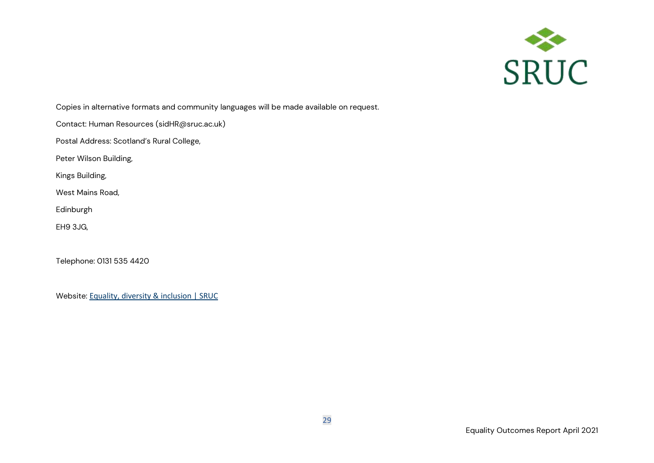

Copies in alternative formats and community languages will be made available on request.

Contact: Human Resources (sidHR@sruc.ac.uk)

Postal Address: Scotland's Rural College,

Peter Wilson Building,

Kings Building,

West Mains Road,

Edinburgh

EH9 3JG,

Telephone: 0131 535 4420

Website: [Equality, diversity & inclusion | SRUC](https://ww1.sruc.ac.uk/connect/about-sruc/policies-compliance/equality-diversity-inclusion/)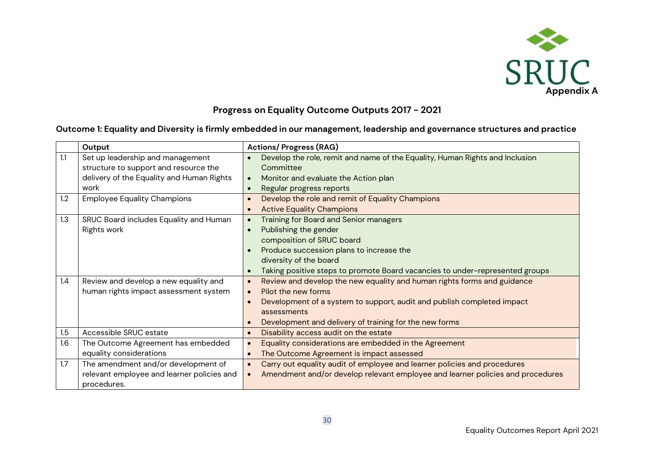

## **Progress on Equality Outcome Outputs 2017 - 2021**

#### **Outcome 1: Equality and Diversity is firmly embedded in our management, leadership and governance structures and practice**

|     | Output                                     | <b>Actions/Progress (RAG)</b>                                                        |
|-----|--------------------------------------------|--------------------------------------------------------------------------------------|
| 1.1 | Set up leadership and management           | Develop the role, remit and name of the Equality, Human Rights and Inclusion         |
|     | structure to support and resource the      | Committee                                                                            |
|     | delivery of the Equality and Human Rights  | Monitor and evaluate the Action plan<br>$\bullet$                                    |
|     | work                                       | Regular progress reports<br>$\bullet$                                                |
| 1.2 | <b>Employee Equality Champions</b>         | Develop the role and remit of Equality Champions                                     |
|     |                                            | <b>Active Equality Champions</b><br>$\bullet$                                        |
| 1.3 | SRUC Board includes Equality and Human     | Training for Board and Senior managers                                               |
|     | Rights work                                | Publishing the gender<br>$\bullet$                                                   |
|     |                                            | composition of SRUC board                                                            |
|     |                                            | Produce succession plans to increase the                                             |
|     |                                            | diversity of the board                                                               |
|     |                                            | Taking positive steps to promote Board vacancies to under-represented groups         |
| 1.4 | Review and develop a new equality and      | Review and develop the new equality and human rights forms and guidance<br>$\bullet$ |
|     | human rights impact assessment system      | Pilot the new forms<br>$\bullet$                                                     |
|     |                                            | Development of a system to support, audit and publish completed impact<br>$\bullet$  |
|     |                                            | assessments                                                                          |
|     |                                            | Development and delivery of training for the new forms<br>$\bullet$                  |
| 1.5 | Accessible SRUC estate                     | Disability access audit on the estate<br>$\bullet$                                   |
| 1.6 | The Outcome Agreement has embedded         | Equality considerations are embedded in the Agreement                                |
|     | equality considerations                    | The Outcome Agreement is impact assessed<br>$\bullet$                                |
| 1.7 | The amendment and/or development of        | Carry out equality audit of employee and learner policies and procedures             |
|     | relevant employee and learner policies and | Amendment and/or develop relevant employee and learner policies and procedures       |
|     | procedures.                                |                                                                                      |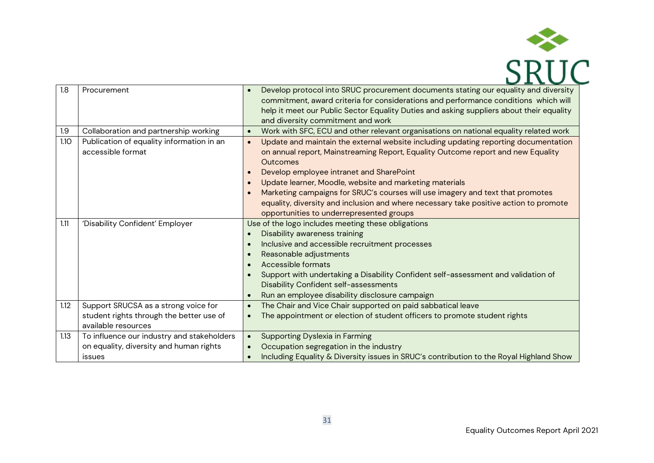

| 1.8  | Procurement                                | Develop protocol into SRUC procurement documents stating our equality and diversity<br>$\bullet$     |  |  |  |
|------|--------------------------------------------|------------------------------------------------------------------------------------------------------|--|--|--|
|      |                                            | commitment, award criteria for considerations and performance conditions which will                  |  |  |  |
|      |                                            | help it meet our Public Sector Equality Duties and asking suppliers about their equality             |  |  |  |
|      |                                            | and diversity commitment and work                                                                    |  |  |  |
| 1.9  | Collaboration and partnership working      | Work with SFC, ECU and other relevant organisations on national equality related work<br>$\bullet$   |  |  |  |
| 1.10 | Publication of equality information in an  | Update and maintain the external website including updating reporting documentation<br>$\bullet$     |  |  |  |
|      | accessible format                          | on annual report, Mainstreaming Report, Equality Outcome report and new Equality                     |  |  |  |
|      |                                            | Outcomes                                                                                             |  |  |  |
|      |                                            | Develop employee intranet and SharePoint<br>$\bullet$                                                |  |  |  |
|      |                                            | Update learner, Moodle, website and marketing materials<br>$\bullet$                                 |  |  |  |
|      |                                            | Marketing campaigns for SRUC's courses will use imagery and text that promotes<br>$\bullet$          |  |  |  |
|      |                                            | equality, diversity and inclusion and where necessary take positive action to promote                |  |  |  |
|      |                                            | opportunities to underrepresented groups                                                             |  |  |  |
| 1.11 | 'Disability Confident' Employer            | Use of the logo includes meeting these obligations                                                   |  |  |  |
|      |                                            | Disability awareness training                                                                        |  |  |  |
|      |                                            | Inclusive and accessible recruitment processes<br>$\bullet$                                          |  |  |  |
|      |                                            | Reasonable adjustments<br>$\bullet$                                                                  |  |  |  |
|      |                                            | Accessible formats<br>$\bullet$                                                                      |  |  |  |
|      |                                            | Support with undertaking a Disability Confident self-assessment and validation of<br>$\bullet$       |  |  |  |
|      |                                            | Disability Confident self-assessments                                                                |  |  |  |
|      |                                            | Run an employee disability disclosure campaign<br>$\bullet$                                          |  |  |  |
| 1.12 | Support SRUCSA as a strong voice for       | The Chair and Vice Chair supported on paid sabbatical leave<br>$\bullet$                             |  |  |  |
|      | student rights through the better use of   | The appointment or election of student officers to promote student rights                            |  |  |  |
|      | available resources                        |                                                                                                      |  |  |  |
| 1.13 | To influence our industry and stakeholders | <b>Supporting Dyslexia in Farming</b><br>$\bullet$                                                   |  |  |  |
|      | on equality, diversity and human rights    | Occupation segregation in the industry                                                               |  |  |  |
|      | issues                                     | Including Equality & Diversity issues in SRUC's contribution to the Royal Highland Show<br>$\bullet$ |  |  |  |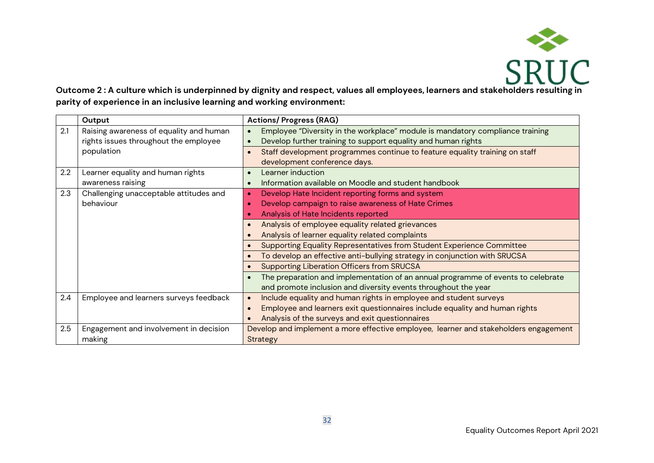

#### **Outcome 2 : A culture which is underpinned by dignity and respect, values all employees, learners and stakeholders resulting in parity of experience in an inclusive learning and working environment:**

|     | Output                                  | <b>Actions/Progress (RAG)</b>                                                        |  |  |  |  |
|-----|-----------------------------------------|--------------------------------------------------------------------------------------|--|--|--|--|
| 2.1 | Raising awareness of equality and human | Employee "Diversity in the workplace" module is mandatory compliance training        |  |  |  |  |
|     | rights issues throughout the employee   | Develop further training to support equality and human rights                        |  |  |  |  |
|     | population                              | Staff development programmes continue to feature equality training on staff          |  |  |  |  |
|     |                                         | development conference days.                                                         |  |  |  |  |
| 2.2 | Learner equality and human rights       | Learner induction                                                                    |  |  |  |  |
|     | awareness raising                       | Information available on Moodle and student handbook                                 |  |  |  |  |
| 2.3 | Challenging unacceptable attitudes and  | Develop Hate Incident reporting forms and system                                     |  |  |  |  |
|     | behaviour                               | Develop campaign to raise awareness of Hate Crimes                                   |  |  |  |  |
|     |                                         | Analysis of Hate Incidents reported                                                  |  |  |  |  |
|     |                                         | Analysis of employee equality related grievances                                     |  |  |  |  |
|     |                                         | Analysis of learner equality related complaints                                      |  |  |  |  |
|     |                                         | Supporting Equality Representatives from Student Experience Committee                |  |  |  |  |
|     |                                         | To develop an effective anti-bullying strategy in conjunction with SRUCSA            |  |  |  |  |
|     |                                         | <b>Supporting Liberation Officers from SRUCSA</b>                                    |  |  |  |  |
|     |                                         | The preparation and implementation of an annual programme of events to celebrate     |  |  |  |  |
|     |                                         | and promote inclusion and diversity events throughout the year                       |  |  |  |  |
| 2.4 | Employee and learners surveys feedback  | Include equality and human rights in employee and student surveys                    |  |  |  |  |
|     |                                         | Employee and learners exit questionnaires include equality and human rights          |  |  |  |  |
|     |                                         | Analysis of the surveys and exit questionnaires                                      |  |  |  |  |
| 2.5 | Engagement and involvement in decision  | Develop and implement a more effective employee, learner and stakeholders engagement |  |  |  |  |
|     | making                                  | Strategy                                                                             |  |  |  |  |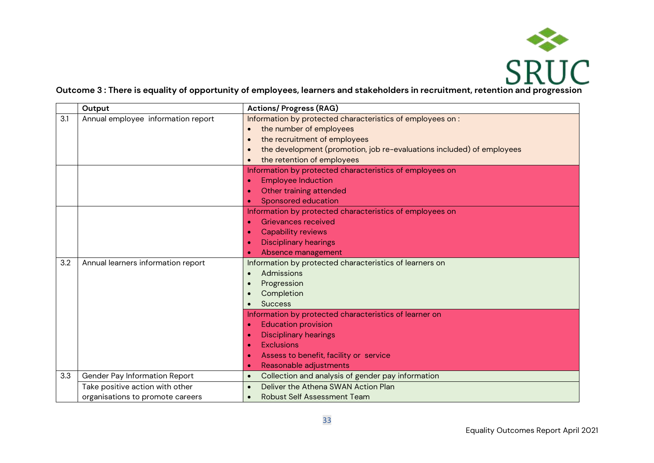

#### **Outcome 3 : There is equality of opportunity of employees, learners and stakeholders in recruitment, retention and progression**

|     | Output                             | <b>Actions/Progress (RAG)</b>                                         |
|-----|------------------------------------|-----------------------------------------------------------------------|
| 3.1 | Annual employee information report | Information by protected characteristics of employees on:             |
|     |                                    | the number of employees                                               |
|     |                                    | the recruitment of employees<br>$\bullet$                             |
|     |                                    | the development (promotion, job re-evaluations included) of employees |
|     |                                    | the retention of employees                                            |
|     |                                    | Information by protected characteristics of employees on              |
|     |                                    | <b>Employee Induction</b>                                             |
|     |                                    | Other training attended                                               |
|     |                                    | Sponsored education                                                   |
|     |                                    | Information by protected characteristics of employees on              |
|     |                                    | Grievances received                                                   |
|     |                                    | <b>Capability reviews</b>                                             |
|     |                                    | <b>Disciplinary hearings</b>                                          |
|     |                                    | Absence management                                                    |
| 3.2 | Annual learners information report | Information by protected characteristics of learners on               |
|     |                                    | Admissions                                                            |
|     |                                    | Progression                                                           |
|     |                                    | Completion                                                            |
|     |                                    | <b>Success</b>                                                        |
|     |                                    | Information by protected characteristics of learner on                |
|     |                                    | <b>Education provision</b>                                            |
|     |                                    | <b>Disciplinary hearings</b>                                          |
|     |                                    | <b>Exclusions</b>                                                     |
|     |                                    | Assess to benefit, facility or service                                |
|     |                                    | Reasonable adjustments                                                |
| 3.3 | Gender Pay Information Report      | Collection and analysis of gender pay information<br>$\bullet$        |
|     | Take positive action with other    | Deliver the Athena SWAN Action Plan                                   |
|     | organisations to promote careers   | <b>Robust Self Assessment Team</b>                                    |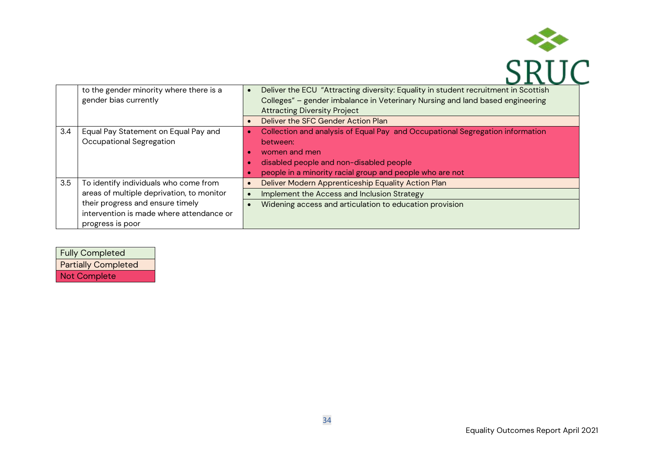

|     | to the gender minority where there is a   | Deliver the ECU "Attracting diversity: Equality in student recruitment in Scottish |
|-----|-------------------------------------------|------------------------------------------------------------------------------------|
|     | gender bias currently                     | Colleges" - gender imbalance in Veterinary Nursing and land based engineering      |
|     |                                           | <b>Attracting Diversity Project</b>                                                |
|     |                                           | Deliver the SFC Gender Action Plan<br>$\bullet$                                    |
| 3.4 | Equal Pay Statement on Equal Pay and      | Collection and analysis of Equal Pay and Occupational Segregation information      |
|     | Occupational Segregation                  | between:                                                                           |
|     |                                           | women and men                                                                      |
|     |                                           | disabled people and non-disabled people                                            |
|     |                                           | people in a minority racial group and people who are not                           |
| 3.5 | To identify individuals who come from     | Deliver Modern Apprenticeship Equality Action Plan                                 |
|     | areas of multiple deprivation, to monitor | Implement the Access and Inclusion Strategy                                        |
|     | their progress and ensure timely          | Widening access and articulation to education provision                            |
|     | intervention is made where attendance or  |                                                                                    |
|     | progress is poor                          |                                                                                    |

| <b>Fully Completed</b>     |
|----------------------------|
| <b>Partially Completed</b> |
| <b>Not Complete</b>        |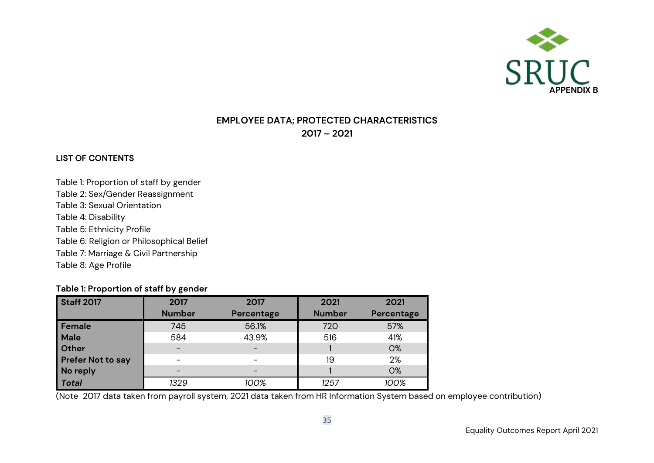

## **EMPLOYEE DATA; PROTECTED CHARACTERISTICS 2017 – 2021**

#### **LIST OF CONTENTS**

Table 1: Proportion of staff by gender Table 2: Sex/Gender Reassignment Table 3: Sexual Orientation Table 4: Disability Table 5: Ethnicity Profile Table 6: Religion or Philosophical Belief Table 7: Marriage & Civil Partnership Table 8: Age Profile

#### **Table 1: Proportion of staff by gender**

| <b>Staff 2017</b>        | 2017          | 2017       | 2021          | 2021       |
|--------------------------|---------------|------------|---------------|------------|
|                          | <b>Number</b> | Percentage | <b>Number</b> | Percentage |
| Female                   | 745           | 56.1%      | 720           | 57%        |
| <b>Male</b>              | 584           | 43.9%      | 516           | 41%        |
| <b>Other</b>             |               |            |               | <b>O%</b>  |
| <b>Prefer Not to say</b> |               |            | 19            | 2%         |
| No reply                 |               |            |               | O%         |
| <b>Total</b>             | 1329          | 100%       | 1257          | 100%       |

(Note 2017 data taken from payroll system, 2021 data taken from HR Information System based on employee contribution)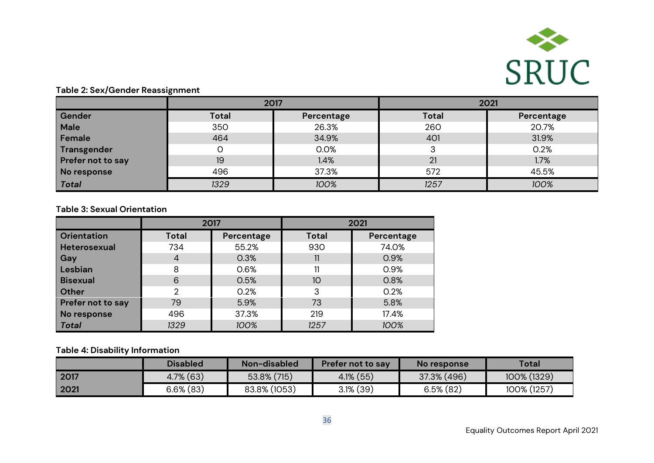

#### **Table 2: Sex/Gender Reassignment**

|                   | 2017         |            | 2021         |            |  |
|-------------------|--------------|------------|--------------|------------|--|
| Gender            | <b>Total</b> | Percentage | <b>Total</b> | Percentage |  |
| Male              | 350          | 26.3%      | 260          | 20.7%      |  |
| Female            | 464          | 34.9%      | 401          | 31.9%      |  |
| Transgender       |              | 0.0%       |              | 0.2%       |  |
| Prefer not to say | 19           | 1.4%       | 21           | 1.7%       |  |
| No response       | 496          | 37.3%      | 572          | 45.5%      |  |
| Total             | 1329         | 100%       | 1257         | 100%       |  |

#### **Table 3: Sexual Orientation**

|                          | 2017           |            | 2021         |            |  |
|--------------------------|----------------|------------|--------------|------------|--|
| <b>Orientation</b>       | <b>Total</b>   | Percentage | <b>Total</b> | Percentage |  |
| <b>Heterosexual</b>      | 734            | 55.2%      | 930          | 74.0%      |  |
| Gay                      | 4              | 0.3%       | 11           | 0.9%       |  |
| Lesbian                  | 8              | 0.6%       | 11           | 0.9%       |  |
| <b>Bisexual</b>          | 6              | 0.5%       | 10           | 0.8%       |  |
| <b>Other</b>             | $\overline{2}$ | 0.2%       | 3            | 0.2%       |  |
| <b>Prefer not to say</b> | 79             | 5.9%       | 73           | 5.8%       |  |
| No response              | 496            | 37.3%      | 219          | 17.4%      |  |
| <b>Total</b>             | 1329           | 100%       | 1257         | 100%       |  |

#### **Table 4: Disability Information**

|      | <b>Disabled</b> | Non-disabled   | <b>Prefer not to say</b> | No response  | <b>Total</b> |
|------|-----------------|----------------|--------------------------|--------------|--------------|
| 2017 | $4.7\%$ (63)    | $53.8\%$ (715) | $4.1\%$ (55)             | 37.3% (496)  | 100% (1329)  |
| 2021 | $6.6\%$ (83)    | 83.8% (1053)   | $3.1\%$ (39)             | $6.5\%$ (82) | 100% (1257)  |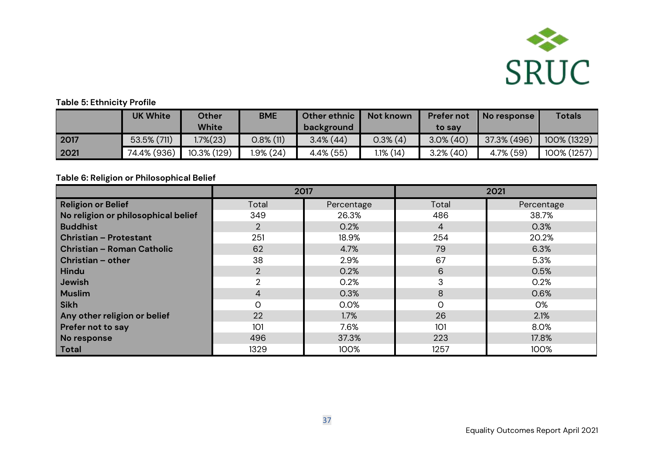

#### **Table 5: Ethnicity Profile**

|      | <b>UK White</b> | Other<br>White | <b>BME</b>   | Other ethnic<br>background | Not known   | <b>Prefer not</b><br>to sav | No response  | <b>Totals</b> |
|------|-----------------|----------------|--------------|----------------------------|-------------|-----------------------------|--------------|---------------|
| 2017 | 53.5% (711)     | .7%(23)        | $0.8\%$ (11) | $3.4\%$ (44)               | $0.3\%$ (4) | $3.0\%$ (40)                | 37.3% (496)  | 100% (1329)   |
| 2021 | 74.4% (936)     | 10.3% (129)    | 1.9% (24)    | 4.4% (55)                  | I.1% (14)   | $3.2\%$ (40)                | $4.7\%$ (59) | 100% (1257)   |

### **Table 6: Religion or Philosophical Belief**

|                                     | 2017           |            | 2021       |            |  |
|-------------------------------------|----------------|------------|------------|------------|--|
| <b>Religion or Belief</b>           | Total          | Percentage | Total      | Percentage |  |
| No religion or philosophical belief | 349            | 26.3%      | 486        | 38.7%      |  |
| <b>Buddhist</b>                     | $\overline{2}$ | 0.2%       | 4          | 0.3%       |  |
| <b>Christian - Protestant</b>       | 251            | 18.9%      | 254        | 20.2%      |  |
| Christian – Roman Catholic          | 62             | 4.7%       | 79         | 6.3%       |  |
| Christian - other                   | 38             | 2.9%       | 67         | 5.3%       |  |
| Hindu                               | $\overline{2}$ | 0.2%       | 6          | 0.5%       |  |
| Jewish                              | $\overline{2}$ | 0.2%       | 3          | 0.2%       |  |
| <b>Muslim</b>                       | $\overline{4}$ | 0.3%       | 8          | 0.6%       |  |
| <b>Sikh</b>                         | $\Omega$       | 0.0%       | Ω          | 0%         |  |
| Any other religion or belief        | 22             | 1.7%       | 26         | 2.1%       |  |
| <b>Prefer not to say</b>            | 101            | 7.6%       | <b>101</b> | 8.0%       |  |
| No response                         | 496            | 37.3%      | 223        | 17.8%      |  |
| Total                               | 1329           | 100%       | 1257       | 100%       |  |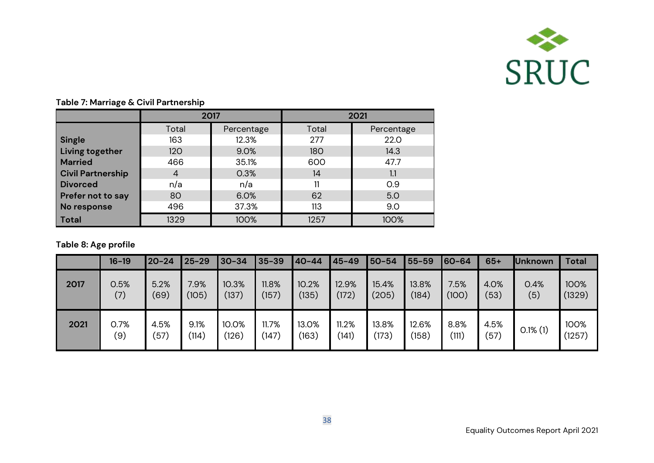

|                          | 2017           |            | 2021  |            |  |
|--------------------------|----------------|------------|-------|------------|--|
|                          | Total          | Percentage | Total | Percentage |  |
| <b>Single</b>            | 163            | 12.3%      | 277   | 22.0       |  |
| Living together          | 120            | 9.0%       | 180   | 14.3       |  |
| <b>Married</b>           | 466            | 35.1%      | 600   | 47.7       |  |
| <b>Civil Partnership</b> | $\overline{4}$ | 0.3%       | 14    | 1.1        |  |
| <b>Divorced</b>          | n/a            | n/a        | 11    | 0.9        |  |
| Prefer not to say        | 80             | 6.0%       | 62    | 5.0        |  |
| No response              | 496            | 37.3%      | 113   | 9.0        |  |
| <b>Total</b>             | 1329           | 100%       | 1257  | 100%       |  |

#### **Table 7: Marriage & Civil Partnership**

### **Table 8: Age profile**

|      | $16 - 19$   | $20 - 24$    | $25 - 29$     | $30 - 34$      | $35 - 39$      | 40-44          | $45 - 49$      | 50-54          | 55-59          | 60-64         | $65+$        | <b>Unknown</b> | <b>Total</b>   |
|------|-------------|--------------|---------------|----------------|----------------|----------------|----------------|----------------|----------------|---------------|--------------|----------------|----------------|
| 2017 | 0.5%<br>(7) | 5.2%<br>(69) | 7.9%<br>(105) | 10.3%<br>(137) | 11.8%<br>(157) | 10.2%<br>(135) | 12.9%<br>(172) | 15.4%<br>(205) | 13.8%<br>(184) | 7.5%<br>(100) | 4.0%<br>(53) | 0.4%<br>(5)    | 100%<br>(1329) |
| 2021 | 0.7%<br>(9) | 4.5%<br>(57) | 9.1%<br>(114) | 10.0%<br>´126) | 11.7%<br>(147) | 13.0%<br>(163) | 11.2%<br>(141) | 13.8%<br>(173) | 12.6%<br>(158) | 8.8%<br>(111) | 4.5%<br>(57) | $0.1\%$ (1)    | 100%<br>(1257) |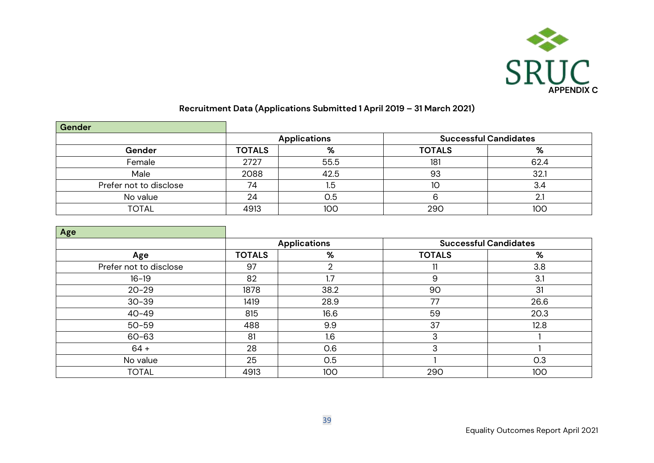

# **Recruitment Data (Applications Submitted 1 April 2019 – 31 March 2021)**

| Gender                 |               |                     |                              |            |  |
|------------------------|---------------|---------------------|------------------------------|------------|--|
|                        |               | <b>Applications</b> | <b>Successful Candidates</b> |            |  |
| Gender                 | <b>TOTALS</b> | %                   | <b>TOTALS</b>                | $\sqrt{2}$ |  |
| Female                 | 2727          | 55.5                | 181                          | 62.4       |  |
| Male                   | 2088          | 42.5                | 93                           | 32.        |  |
| Prefer not to disclose | 74            | 1.5                 | 10                           | 3.4        |  |
| No value               | 24            | 0.5                 |                              |            |  |
| TOTAL                  | 4913          | 100                 | 290                          | 10C        |  |

| Age                    |               |                     |               |                              |
|------------------------|---------------|---------------------|---------------|------------------------------|
|                        |               | <b>Applications</b> |               | <b>Successful Candidates</b> |
| Age                    | <b>TOTALS</b> | %                   | <b>TOTALS</b> | %                            |
| Prefer not to disclose | 97            | ∩                   | 11            | 3.8                          |
| $16 - 19$              | 82            | $\overline{.7}$     | 9             | 3.1                          |
| $20 - 29$              | 1878          | 38.2                | 90            | 31                           |
| $30 - 39$              | 1419          | 28.9                | 77            | 26.6                         |
| $40 - 49$              | 815           | 16.6                | 59            | 20.3                         |
| $50 - 59$              | 488           | 9.9                 | 37            | 12.8                         |
| 60-63                  | 81            | 1.6                 | 3             |                              |
| $64 +$                 | 28            | 0.6                 | 3             |                              |
| No value               | 25            | 0.5                 |               | 0.3                          |
| <b>TOTAL</b>           | 4913          | 100                 | 290           | 100                          |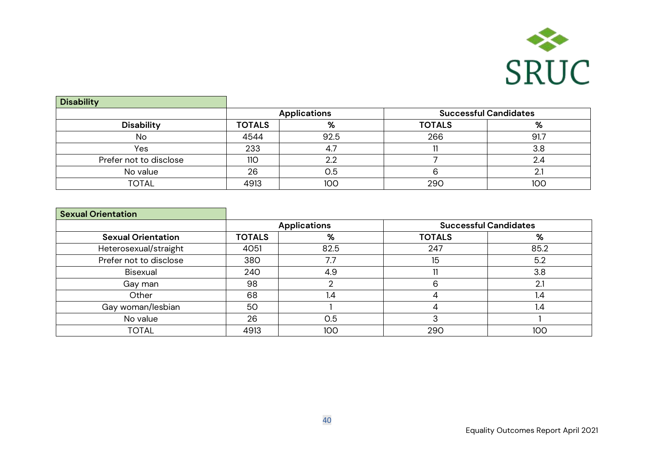

| <b>Disability</b>      |                     |      |                              |      |
|------------------------|---------------------|------|------------------------------|------|
|                        | <b>Applications</b> |      | <b>Successful Candidates</b> |      |
| <b>Disability</b>      | <b>TOTALS</b>       | %    | <b>TOTALS</b>                | %    |
| No                     | 4544                | 92.5 | 266                          | 91.7 |
| Yes                    | 233                 | 4.7  |                              | 3.8  |
| Prefer not to disclose | <b>110</b>          | 2.2  |                              | 2.4  |
| No value               | 26                  | 0.5  |                              |      |
| TOTAL                  | 4913                | 100  | 290                          | 10C  |

| <b>Sexual Orientation</b> |               |                     |                              |      |
|---------------------------|---------------|---------------------|------------------------------|------|
|                           |               | <b>Applications</b> | <b>Successful Candidates</b> |      |
| <b>Sexual Orientation</b> | <b>TOTALS</b> | %                   | <b>TOTALS</b>                | %    |
| Heterosexual/straight     | 4051          | 82.5                | 247                          | 85.2 |
| Prefer not to disclose    | 380           | 7.7                 | 15                           | 5.2  |
| Bisexual                  | 240           | 4.9                 |                              | 3.8  |
| Gay man                   | 98            |                     | 6                            | 2.1  |
| Other                     | 68            | 1.4                 |                              | 1.4  |
| Gay woman/lesbian         | 50            |                     |                              | 1.4  |
| No value                  | 26            | 0.5                 |                              |      |
| <b>TOTAL</b>              | 4913          | 100                 | 290                          | 100  |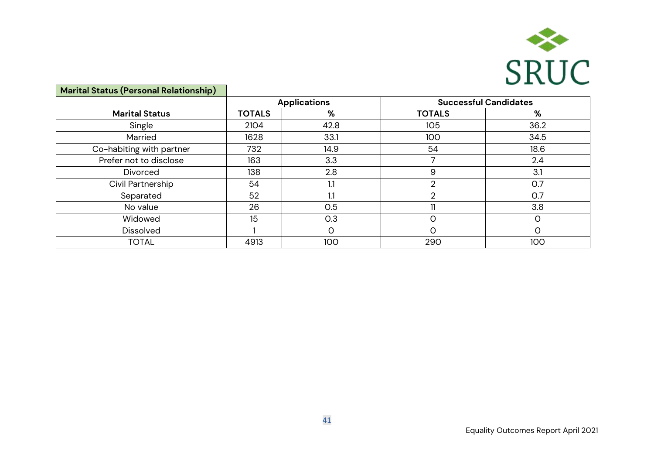

| <b>Marital Status (Personal Relationship)</b> |                     |      |                              |      |  |
|-----------------------------------------------|---------------------|------|------------------------------|------|--|
|                                               | <b>Applications</b> |      | <b>Successful Candidates</b> |      |  |
| <b>Marital Status</b>                         | <b>TOTALS</b>       | %    | <b>TOTALS</b>                | %    |  |
| Single                                        | 2104                | 42.8 | 105                          | 36.2 |  |
| Married                                       | 1628                | 33.1 | 100                          | 34.5 |  |
| Co-habiting with partner                      | 732                 | 14.9 | 54                           | 18.6 |  |
| Prefer not to disclose                        | 163                 | 3.3  |                              | 2.4  |  |
| <b>Divorced</b>                               | 138                 | 2.8  | 9                            | 3.1  |  |
| Civil Partnership                             | 54                  | 1.1  | റ                            | O.7  |  |
| Separated                                     | 52                  | 1.1  | $\overline{2}$               | O.7  |  |
| No value                                      | 26                  | 0.5  |                              | 3.8  |  |
| Widowed                                       | 15                  | O.3  | C                            |      |  |
| <b>Dissolved</b>                              |                     | O    | $\Omega$                     |      |  |
| <b>TOTAL</b>                                  | 4913                | 100  | 290                          | 100  |  |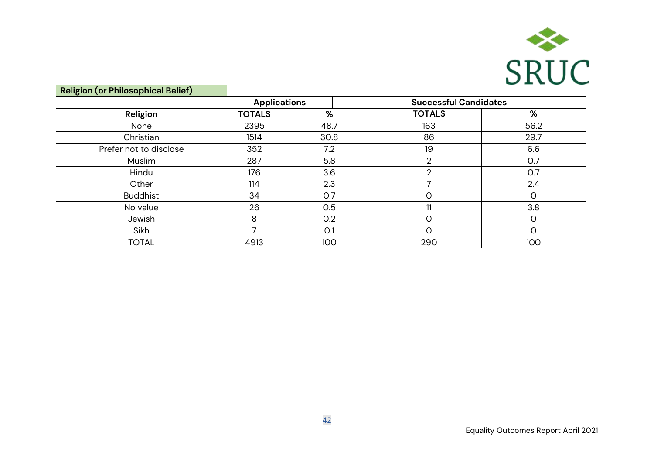

| <b>Religion (or Philosophical Belief)</b> |                     |      |                              |      |  |
|-------------------------------------------|---------------------|------|------------------------------|------|--|
|                                           | <b>Applications</b> |      | <b>Successful Candidates</b> |      |  |
| Religion                                  | <b>TOTALS</b>       | %    | <b>TOTALS</b>                | %    |  |
| None                                      | 2395                | 48.7 | 163                          | 56.2 |  |
| Christian                                 | 1514                | 30.8 | 86                           | 29.7 |  |
| Prefer not to disclose                    | 352                 | 7.2  | 19                           | 6.6  |  |
| Muslim                                    | 287                 | 5.8  | ∩                            | O.7  |  |
| Hindu                                     | 176                 | 3.6  | ∩                            | O.7  |  |
| Other                                     | 114                 | 2.3  | ᄀ                            | 2.4  |  |
| <b>Buddhist</b>                           | 34                  | 0.7  | 0                            | Ω    |  |
| No value                                  | 26                  | 0.5  |                              | 3.8  |  |
| Jewish                                    | 8                   | 0.2  | $\Omega$                     | Ω    |  |
| Sikh                                      |                     | O.1  | O                            | Ω    |  |
| <b>TOTAL</b>                              | 4913                | 100  | 290                          | 100  |  |

l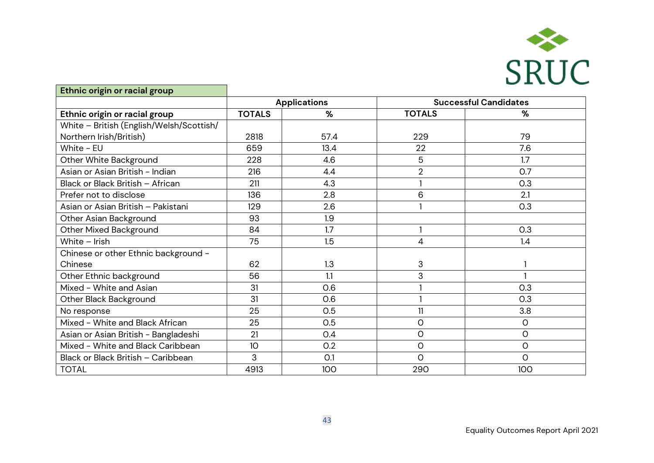

| Ethnic origin or racial group            |                     |      |                |                              |
|------------------------------------------|---------------------|------|----------------|------------------------------|
|                                          | <b>Applications</b> |      |                | <b>Successful Candidates</b> |
| Ethnic origin or racial group            | <b>TOTALS</b>       | %    | <b>TOTALS</b>  | %                            |
| White - British (English/Welsh/Scottish/ |                     |      |                |                              |
| Northern Irish/British)                  | 2818                | 57.4 | 229            | 79                           |
| White - EU                               | 659                 | 13.4 | 22             | 7.6                          |
| Other White Background                   | 228                 | 4.6  | 5              | 1.7                          |
| Asian or Asian British - Indian          | 216                 | 4.4  | $\overline{2}$ | O.7                          |
| Black or Black British - African         | 211                 | 4.3  |                | 0.3                          |
| Prefer not to disclose                   | 136                 | 2.8  | 6              | 2.1                          |
| Asian or Asian British - Pakistani       | 129                 | 2.6  |                | O.3                          |
| Other Asian Background                   | 93                  | 1.9  |                |                              |
| <b>Other Mixed Background</b>            | 84                  | 1.7  |                | O.3                          |
| White - Irish                            | 75                  | 1.5  | 4              | 1.4                          |
| Chinese or other Ethnic background -     |                     |      |                |                              |
| Chinese                                  | 62                  | 1.3  | 3              |                              |
| Other Ethnic background                  | 56                  | 1.1  | 3              |                              |
| Mixed - White and Asian                  | 31                  | 0.6  |                | O.3                          |
| Other Black Background                   | 31                  | 0.6  |                | O.3                          |
| No response                              | 25                  | 0.5  | 11             | 3.8                          |
| Mixed - White and Black African          | 25                  | 0.5  | $\circ$        | $\circ$                      |
| Asian or Asian British - Bangladeshi     | 21                  | 0.4  | $\circ$        | $\circ$                      |
| Mixed - White and Black Caribbean        | 10                  | 0.2  | $\circ$        | $\mathsf O$                  |
| Black or Black British - Caribbean       | 3                   | O.1  | $\circ$        | 0                            |
| <b>TOTAL</b>                             | 4913                | 100  | 290            | 100                          |

l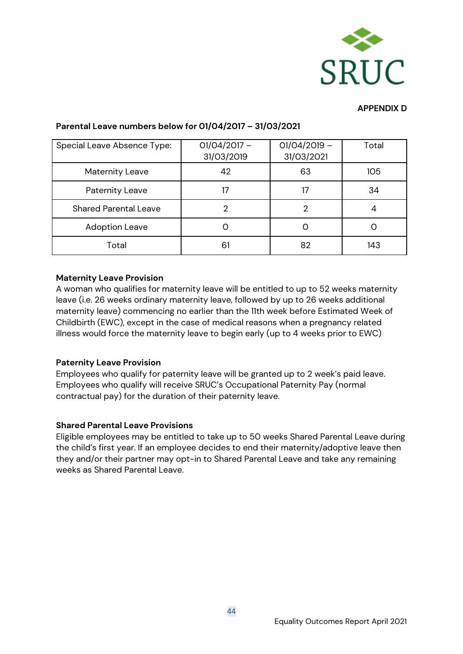

#### **APPENDIX D**

| Special Leave Absence Type:  | $01/04/2017 -$<br>31/03/2019 | $01/04/2019 -$<br>31/03/2021 | Total |
|------------------------------|------------------------------|------------------------------|-------|
| <b>Maternity Leave</b>       | 42                           | 63                           | 105   |
| <b>Paternity Leave</b>       | 17                           | 17                           | 34    |
| <b>Shared Parental Leave</b> | 2                            | 2                            | 4     |
| <b>Adoption Leave</b>        |                              |                              |       |
| Total                        | 61                           | 82                           | 143   |

#### **Parental Leave numbers below for 01/04/2017 – 31/03/2021**

#### **Maternity Leave Provision**

A woman who qualifies for maternity leave will be entitled to up to 52 weeks maternity leave (i.e. 26 weeks ordinary maternity leave, followed by up to 26 weeks additional maternity leave) commencing no earlier than the 11th week before Estimated Week of Childbirth (EWC), except in the case of medical reasons when a pregnancy related illness would force the maternity leave to begin early (up to 4 weeks prior to EWC)

#### **Paternity Leave Provision**

Employees who qualify for paternity leave will be granted up to 2 week's paid leave. Employees who qualify will receive SRUC's Occupational Paternity Pay (normal contractual pay) for the duration of their paternity leave.

#### **Shared Parental Leave Provisions**

Eligible employees may be entitled to take up to 50 weeks Shared Parental Leave during the child's first year. If an employee decides to end their maternity/adoptive leave then they and/or their partner may opt-in to Shared Parental Leave and take any remaining weeks as Shared Parental Leave.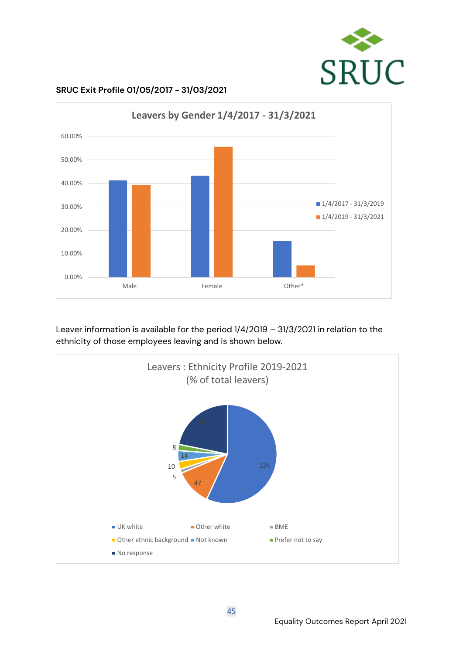



**SRUC Exit Profile 01/05/2017 - 31/03/2021**

Leaver information is available for the period 1/4/2019 – 31/3/2021 in relation to the ethnicity of those employees leaving and is shown below.